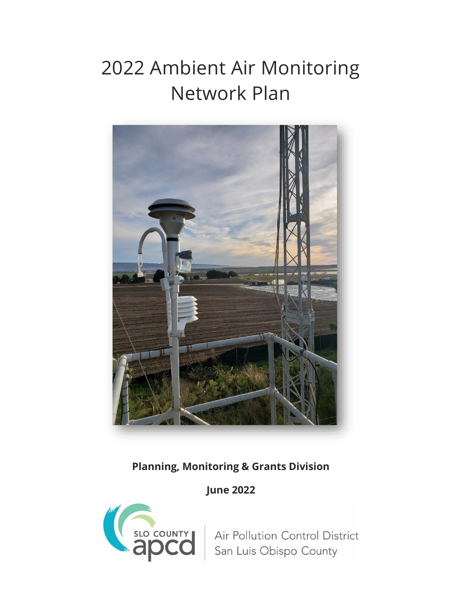# 2022 Ambient Air Monitoring Network Plan



# **Planning, Monitoring & Grants Division**

**June 2022**



Air Pollution Control District San Luis Obispo County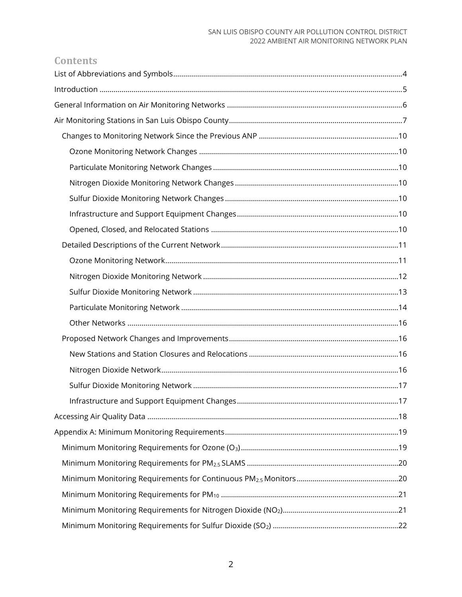| <b>Contents</b> |  |
|-----------------|--|
|                 |  |
|                 |  |
|                 |  |
|                 |  |
|                 |  |
|                 |  |
|                 |  |
|                 |  |
|                 |  |
|                 |  |
|                 |  |
|                 |  |
|                 |  |
|                 |  |
|                 |  |
|                 |  |
|                 |  |
|                 |  |
|                 |  |
|                 |  |
|                 |  |
|                 |  |
|                 |  |
|                 |  |
|                 |  |
|                 |  |
|                 |  |
|                 |  |
|                 |  |
|                 |  |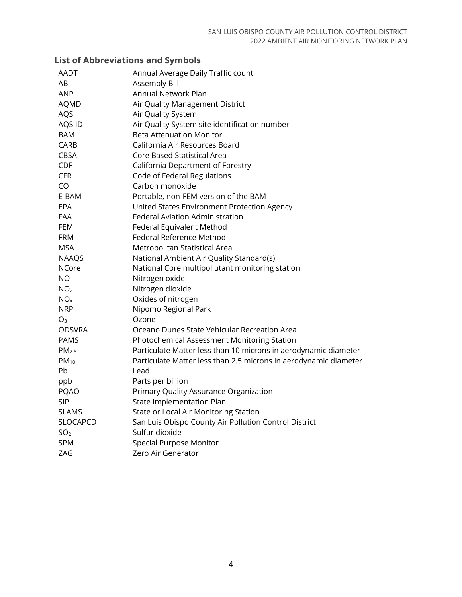# <span id="page-3-0"></span>**List of Abbreviations and Symbols**

| AADT              | Annual Average Daily Traffic count                               |
|-------------------|------------------------------------------------------------------|
| AB                | Assembly Bill                                                    |
| <b>ANP</b>        | Annual Network Plan                                              |
| <b>AQMD</b>       | Air Quality Management District                                  |
| AQS               | Air Quality System                                               |
| AQS ID            | Air Quality System site identification number                    |
| <b>BAM</b>        | <b>Beta Attenuation Monitor</b>                                  |
| <b>CARB</b>       | California Air Resources Board                                   |
| CBSA              | Core Based Statistical Area                                      |
| CDF               | California Department of Forestry                                |
| <b>CFR</b>        | Code of Federal Regulations                                      |
| CO                | Carbon monoxide                                                  |
| E-BAM             | Portable, non-FEM version of the BAM                             |
| EPA               | United States Environment Protection Agency                      |
| <b>FAA</b>        | Federal Aviation Administration                                  |
| <b>FEM</b>        | Federal Equivalent Method                                        |
| <b>FRM</b>        | Federal Reference Method                                         |
| MSA               | Metropolitan Statistical Area                                    |
| <b>NAAQS</b>      | National Ambient Air Quality Standard(s)                         |
| <b>NCore</b>      | National Core multipollutant monitoring station                  |
| ΝO                | Nitrogen oxide                                                   |
| NO <sub>2</sub>   | Nitrogen dioxide                                                 |
| NO <sub>x</sub>   | Oxides of nitrogen                                               |
| <b>NRP</b>        | Nipomo Regional Park                                             |
| $O_3$             | Ozone                                                            |
| <b>ODSVRA</b>     | Oceano Dunes State Vehicular Recreation Area                     |
| <b>PAMS</b>       | Photochemical Assessment Monitoring Station                      |
| PM <sub>2.5</sub> | Particulate Matter less than 10 microns in aerodynamic diameter  |
| $PM_{10}$         | Particulate Matter less than 2.5 microns in aerodynamic diameter |
| Pb                | Lead                                                             |
| ppb               | Parts per billion                                                |
| <b>PQAO</b>       | Primary Quality Assurance Organization                           |
| <b>SIP</b>        | State Implementation Plan                                        |
| <b>SLAMS</b>      | State or Local Air Monitoring Station                            |
| SLOCAPCD          | San Luis Obispo County Air Pollution Control District            |
| SO <sub>2</sub>   | Sulfur dioxide                                                   |
| <b>SPM</b>        | <b>Special Purpose Monitor</b>                                   |
| ZAG               | Zero Air Generator                                               |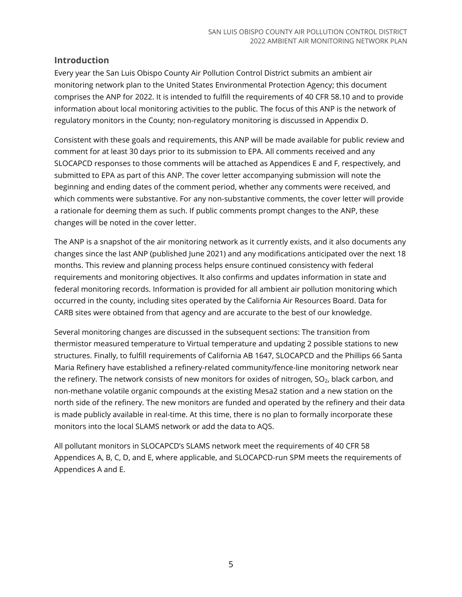# <span id="page-4-0"></span>**Introduction**

Every year the San Luis Obispo County Air Pollution Control District submits an ambient air monitoring network plan to the United States Environmental Protection Agency; this document comprises the ANP for 2022. It is intended to fulfill the requirements of 40 CFR 58.10 and to provide information about local monitoring activities to the public. The focus of this ANP is the network of regulatory monitors in the County; non-regulatory monitoring is discussed in Appendix D.

Consistent with these goals and requirements, this ANP will be made available for public review and comment for at least 30 days prior to its submission to EPA. All comments received and any SLOCAPCD responses to those comments will be attached as Appendices E and F, respectively, and submitted to EPA as part of this ANP. The cover letter accompanying submission will note the beginning and ending dates of the comment period, whether any comments were received, and which comments were substantive. For any non-substantive comments, the cover letter will provide a rationale for deeming them as such. If public comments prompt changes to the ANP, these changes will be noted in the cover letter.

The ANP is a snapshot of the air monitoring network as it currently exists, and it also documents any changes since the last ANP (published June 2021) and any modifications anticipated over the next 18 months. This review and planning process helps ensure continued consistency with federal requirements and monitoring objectives. It also confirms and updates information in state and federal monitoring records. Information is provided for all ambient air pollution monitoring which occurred in the county, including sites operated by the California Air Resources Board. Data for CARB sites were obtained from that agency and are accurate to the best of our knowledge.

Several monitoring changes are discussed in the subsequent sections: The transition from thermistor measured temperature to Virtual temperature and updating 2 possible stations to new structures. Finally, to fulfill requirements of California AB 1647, SLOCAPCD and the Phillips 66 Santa Maria Refinery have established a refinery-related community/fence-line monitoring network near the refinery. The network consists of new monitors for oxides of nitrogen, SO<sub>2</sub>, black carbon, and non-methane volatile organic compounds at the existing Mesa2 station and a new station on the north side of the refinery. The new monitors are funded and operated by the refinery and their data is made publicly available in real-time. At this time, there is no plan to formally incorporate these monitors into the local SLAMS network or add the data to AQS.

All pollutant monitors in SLOCAPCD's SLAMS network meet the requirements of 40 CFR 58 Appendices A, B, C, D, and E, where applicable, and SLOCAPCD-run SPM meets the requirements of Appendices A and E.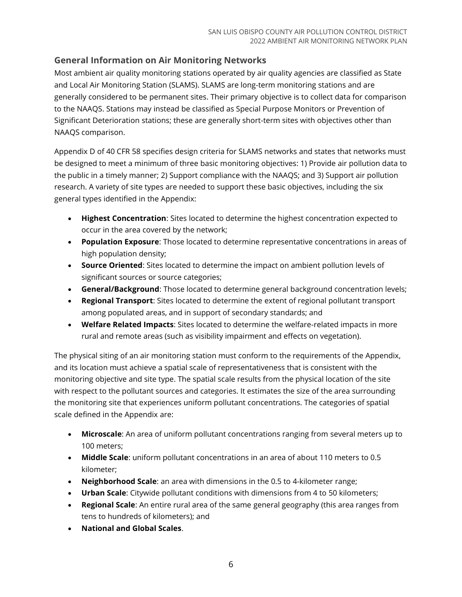# <span id="page-5-0"></span>**General Information on Air Monitoring Networks**

Most ambient air quality monitoring stations operated by air quality agencies are classified as State and Local Air Monitoring Station (SLAMS). SLAMS are long-term monitoring stations and are generally considered to be permanent sites. Their primary objective is to collect data for comparison to the NAAQS. Stations may instead be classified as Special Purpose Monitors or Prevention of Significant Deterioration stations; these are generally short-term sites with objectives other than NAAQS comparison.

Appendix D of 40 CFR 58 specifies design criteria for SLAMS networks and states that networks must be designed to meet a minimum of three basic monitoring objectives: 1) Provide air pollution data to the public in a timely manner; 2) Support compliance with the NAAQS; and 3) Support air pollution research. A variety of site types are needed to support these basic objectives, including the six general types identified in the Appendix:

- **Highest Concentration**: Sites located to determine the highest concentration expected to occur in the area covered by the network;
- **Population Exposure**: Those located to determine representative concentrations in areas of high population density;
- **Source Oriented**: Sites located to determine the impact on ambient pollution levels of significant sources or source categories;
- **General/Background**: Those located to determine general background concentration levels;
- **Regional Transport**: Sites located to determine the extent of regional pollutant transport among populated areas, and in support of secondary standards; and
- **Welfare Related Impacts**: Sites located to determine the welfare-related impacts in more rural and remote areas (such as visibility impairment and effects on vegetation).

The physical siting of an air monitoring station must conform to the requirements of the Appendix, and its location must achieve a spatial scale of representativeness that is consistent with the monitoring objective and site type. The spatial scale results from the physical location of the site with respect to the pollutant sources and categories. It estimates the size of the area surrounding the monitoring site that experiences uniform pollutant concentrations. The categories of spatial scale defined in the Appendix are:

- **Microscale**: An area of uniform pollutant concentrations ranging from several meters up to 100 meters;
- **Middle Scale**: uniform pollutant concentrations in an area of about 110 meters to 0.5 kilometer;
- **Neighborhood Scale**: an area with dimensions in the 0.5 to 4-kilometer range;
- **Urban Scale**: Citywide pollutant conditions with dimensions from 4 to 50 kilometers;
- **Regional Scale**: An entire rural area of the same general geography (this area ranges from tens to hundreds of kilometers); and
- **National and Global Scales**.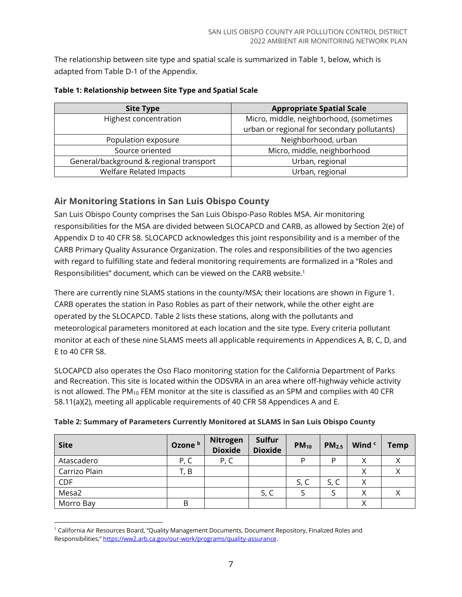The relationship between site type and spatial scale is summarized in Table 1, below, which is adapted from Table D-1 of the Appendix.

| <b>Site Type</b>                        | <b>Appropriate Spatial Scale</b>            |
|-----------------------------------------|---------------------------------------------|
| Highest concentration                   | Micro, middle, neighborhood, (sometimes     |
|                                         | urban or regional for secondary pollutants) |
| Population exposure                     | Neighborhood, urban                         |
| Source oriented                         | Micro, middle, neighborhood                 |
| General/background & regional transport | Urban, regional                             |
| <b>Welfare Related Impacts</b>          | Urban, regional                             |

#### **Table 1: Relationship between Site Type and Spatial Scale**

# <span id="page-6-0"></span>**Air Monitoring Stations in San Luis Obispo County**

San Luis Obispo County comprises the San Luis Obispo-Paso Robles MSA. Air monitoring responsibilities for the MSA are divided between SLOCAPCD and CARB, as allowed by Section 2(e) of Appendix D to 40 CFR 58. SLOCAPCD acknowledges this joint responsibility and is a member of the CARB Primary Quality Assurance Organization. The roles and responsibilities of the two agencies with regard to fulfilling state and federal monitoring requirements are formalized in a "Roles and Responsibilities" document, which can be viewed on the CARB website. [1](#page-6-1)

There are currently nine SLAMS stations in the county/MSA; their locations are shown in Figure 1. CARB operates the station in Paso Robles as part of their network, while the other eight are operated by the SLOCAPCD. Table 2 lists these stations, along with the pollutants and meteorological parameters monitored at each location and the site type. Every criteria pollutant monitor at each of these nine SLAMS meets all applicable requirements in Appendices A, B, C, D, and E to 40 CFR 58.

SLOCAPCD also operates the Oso Flaco monitoring station for the California Department of Parks and Recreation. This site is located within the ODSVRA in an area where off-highway vehicle activity is not allowed. The  $PM_{10}$  FEM monitor at the site is classified as an SPM and complies with 40 CFR 58.11(a)(2), meeting all applicable requirements of 40 CFR 58 Appendices A and E.

| <b>Site</b>   | Ozone b | <b>Nitrogen</b><br><b>Dioxide</b> | Sulfur<br><b>Dioxide</b> | $PM_{10}$ | PM <sub>2.5</sub> | Wind <sup>c</sup> | <b>Temp</b> |
|---------------|---------|-----------------------------------|--------------------------|-----------|-------------------|-------------------|-------------|
| Atascadero    | P, C    | P, C                              |                          | D         | D                 |                   |             |
| Carrizo Plain | T, B    |                                   |                          |           |                   |                   |             |
| CDF           |         |                                   |                          | S, C      | S, C              | Χ                 |             |
| Mesa2         |         |                                   | S, C                     |           |                   | Χ                 |             |
| Morro Bay     | B       |                                   |                          |           |                   |                   |             |

**Table 2: Summary of Parameters Currently Monitored at SLAMS in San Luis Obispo County**

<span id="page-6-1"></span><sup>1</sup> California Air Resources Board, "Quality Management Documents, Document Repository, Finalized Roles and Responsibilities," [https://ww2.arb.ca.gov/our-work/programs/quality-assurance.](https://ww2.arb.ca.gov/our-work/programs/quality-assurance/quality-management-document-repository)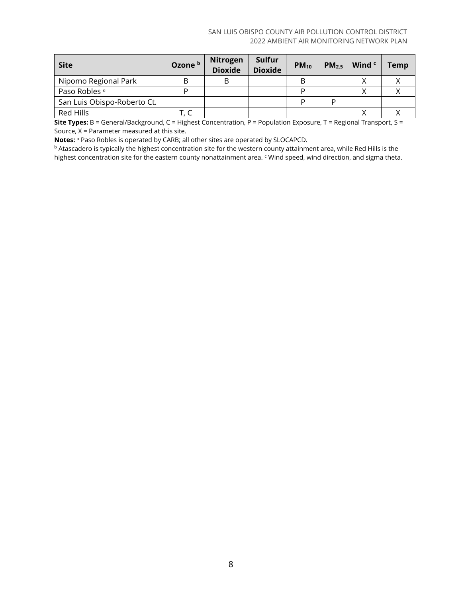| <b>Site</b>                 | Ozone b | <b>Nitrogen</b><br><b>Dioxide</b> | Sulfur<br><b>Dioxide</b> | $PM_{10}$ | $PM_{2.5}$ | Wind c | <b>Temp</b> |
|-----------------------------|---------|-----------------------------------|--------------------------|-----------|------------|--------|-------------|
| Nipomo Regional Park        |         |                                   |                          |           |            |        |             |
| Paso Robles <sup>a</sup>    |         |                                   |                          |           |            |        |             |
| San Luis Obispo-Roberto Ct. |         |                                   |                          |           | D          |        |             |
| Red Hills                   |         |                                   |                          |           |            |        |             |

**Site Types:** B = General/Background, C = Highest Concentration, P = Population Exposure, T = Regional Transport, S = Source,  $X =$  Parameter measured at this site.

**Notes:** <sup>a</sup> Paso Robles is operated by CARB; all other sites are operated by SLOCAPCD.

**b** Atascadero is typically the highest concentration site for the western county attainment area, while Red Hills is the highest concentration site for the eastern county nonattainment area. <sup>c</sup> Wind speed, wind direction, and sigma theta.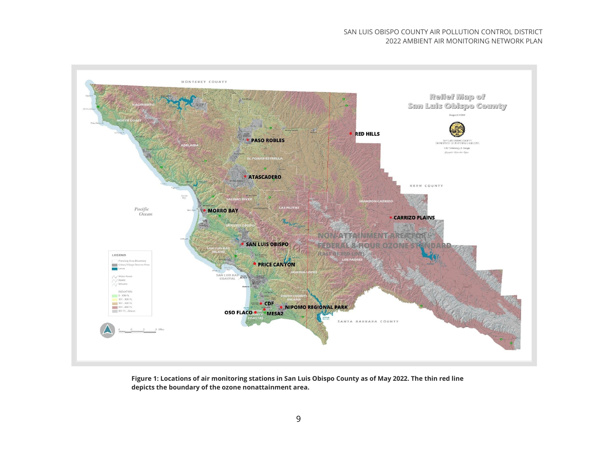

**Figure 1: Locations of air monitoring stations in San Luis Obispo County as of May 2022. The thin red line depicts the boundary of the ozone nonattainment area.**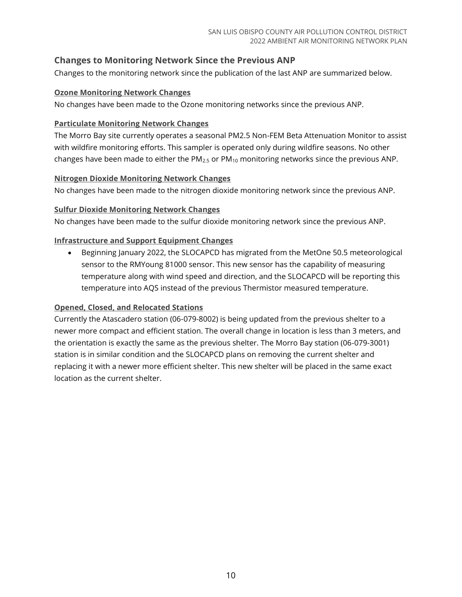# <span id="page-9-0"></span>**Changes to Monitoring Network Since the Previous ANP**

Changes to the monitoring network since the publication of the last ANP are summarized below.

#### <span id="page-9-1"></span>**Ozone Monitoring Network Changes**

No changes have been made to the Ozone monitoring networks since the previous ANP.

### <span id="page-9-2"></span>**Particulate Monitoring Network Changes**

The Morro Bay site currently operates a seasonal PM2.5 Non-FEM Beta Attenuation Monitor to assist with wildfire monitoring efforts. This sampler is operated only during wildfire seasons. No other changes have been made to either the  $PM_{2.5}$  or  $PM_{10}$  monitoring networks since the previous ANP.

#### <span id="page-9-3"></span>**Nitrogen Dioxide Monitoring Network Changes**

No changes have been made to the nitrogen dioxide monitoring network since the previous ANP.

# <span id="page-9-4"></span>**Sulfur Dioxide Monitoring Network Changes**

No changes have been made to the sulfur dioxide monitoring network since the previous ANP.

# <span id="page-9-5"></span>**Infrastructure and Support Equipment Changes**

• Beginning January 2022, the SLOCAPCD has migrated from the MetOne 50.5 meteorological sensor to the RMYoung 81000 sensor. This new sensor has the capability of measuring temperature along with wind speed and direction, and the SLOCAPCD will be reporting this temperature into AQS instead of the previous Thermistor measured temperature.

# <span id="page-9-6"></span>**Opened, Closed, and Relocated Stations**

Currently the Atascadero station (06-079-8002) is being updated from the previous shelter to a newer more compact and efficient station. The overall change in location is less than 3 meters, and the orientation is exactly the same as the previous shelter. The Morro Bay station (06-079-3001) station is in similar condition and the SLOCAPCD plans on removing the current shelter and replacing it with a newer more efficient shelter. This new shelter will be placed in the same exact location as the current shelter.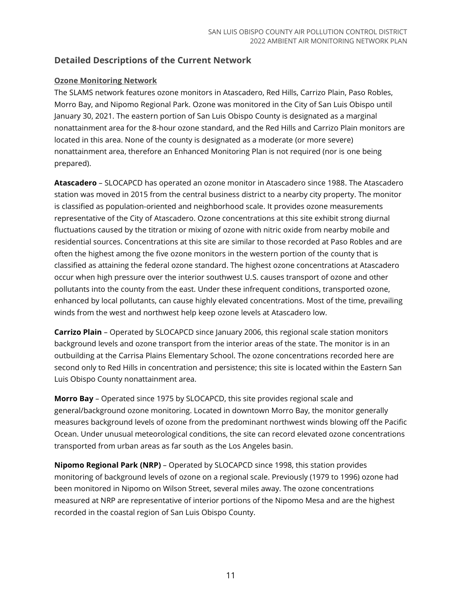# <span id="page-10-0"></span>**Detailed Descriptions of the Current Network**

### <span id="page-10-1"></span>**Ozone Monitoring Network**

The SLAMS network features ozone monitors in Atascadero, Red Hills, Carrizo Plain, Paso Robles, Morro Bay, and Nipomo Regional Park. Ozone was monitored in the City of San Luis Obispo until January 30, 2021. The eastern portion of San Luis Obispo County is designated as a marginal nonattainment area for the 8-hour ozone standard, and the Red Hills and Carrizo Plain monitors are located in this area. None of the county is designated as a moderate (or more severe) nonattainment area, therefore an Enhanced Monitoring Plan is not required (nor is one being prepared).

**Atascadero** – SLOCAPCD has operated an ozone monitor in Atascadero since 1988. The Atascadero station was moved in 2015 from the central business district to a nearby city property. The monitor is classified as population-oriented and neighborhood scale. It provides ozone measurements representative of the City of Atascadero. Ozone concentrations at this site exhibit strong diurnal fluctuations caused by the titration or mixing of ozone with nitric oxide from nearby mobile and residential sources. Concentrations at this site are similar to those recorded at Paso Robles and are often the highest among the five ozone monitors in the western portion of the county that is classified as attaining the federal ozone standard. The highest ozone concentrations at Atascadero occur when high pressure over the interior southwest U.S. causes transport of ozone and other pollutants into the county from the east. Under these infrequent conditions, transported ozone, enhanced by local pollutants, can cause highly elevated concentrations. Most of the time, prevailing winds from the west and northwest help keep ozone levels at Atascadero low.

**Carrizo Plain** – Operated by SLOCAPCD since January 2006, this regional scale station monitors background levels and ozone transport from the interior areas of the state. The monitor is in an outbuilding at the Carrisa Plains Elementary School. The ozone concentrations recorded here are second only to Red Hills in concentration and persistence; this site is located within the Eastern San Luis Obispo County nonattainment area.

**Morro Bay** – Operated since 1975 by SLOCAPCD, this site provides regional scale and general/background ozone monitoring. Located in downtown Morro Bay, the monitor generally measures background levels of ozone from the predominant northwest winds blowing off the Pacific Ocean. Under unusual meteorological conditions, the site can record elevated ozone concentrations transported from urban areas as far south as the Los Angeles basin.

**Nipomo Regional Park (NRP)** – Operated by SLOCAPCD since 1998, this station provides monitoring of background levels of ozone on a regional scale. Previously (1979 to 1996) ozone had been monitored in Nipomo on Wilson Street, several miles away. The ozone concentrations measured at NRP are representative of interior portions of the Nipomo Mesa and are the highest recorded in the coastal region of San Luis Obispo County.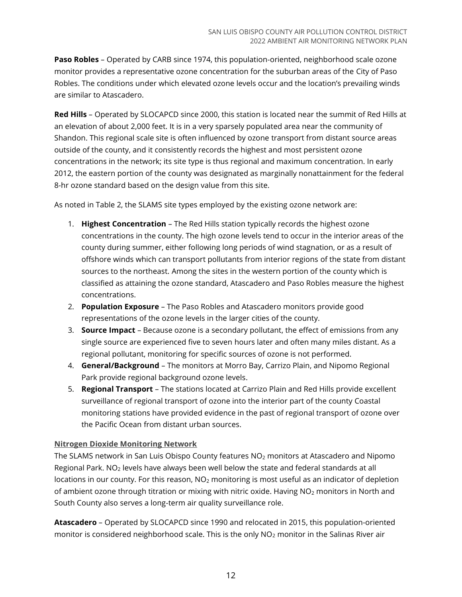**Paso Robles** – Operated by CARB since 1974, this population-oriented, neighborhood scale ozone monitor provides a representative ozone concentration for the suburban areas of the City of Paso Robles. The conditions under which elevated ozone levels occur and the location's prevailing winds are similar to Atascadero.

**Red Hills** – Operated by SLOCAPCD since 2000, this station is located near the summit of Red Hills at an elevation of about 2,000 feet. It is in a very sparsely populated area near the community of Shandon. This regional scale site is often influenced by ozone transport from distant source areas outside of the county, and it consistently records the highest and most persistent ozone concentrations in the network; its site type is thus regional and maximum concentration. In early 2012, the eastern portion of the county was designated as marginally nonattainment for the federal 8-hr ozone standard based on the design value from this site.

As noted in Table 2, the SLAMS site types employed by the existing ozone network are:

- 1. **Highest Concentration** The Red Hills station typically records the highest ozone concentrations in the county. The high ozone levels tend to occur in the interior areas of the county during summer, either following long periods of wind stagnation, or as a result of offshore winds which can transport pollutants from interior regions of the state from distant sources to the northeast. Among the sites in the western portion of the county which is classified as attaining the ozone standard, Atascadero and Paso Robles measure the highest concentrations.
- 2. **Population Exposure** The Paso Robles and Atascadero monitors provide good representations of the ozone levels in the larger cities of the county.
- 3. **Source Impact** Because ozone is a secondary pollutant, the effect of emissions from any single source are experienced five to seven hours later and often many miles distant. As a regional pollutant, monitoring for specific sources of ozone is not performed.
- 4. **General/Background** The monitors at Morro Bay, Carrizo Plain, and Nipomo Regional Park provide regional background ozone levels.
- 5. **Regional Transport** The stations located at Carrizo Plain and Red Hills provide excellent surveillance of regional transport of ozone into the interior part of the county Coastal monitoring stations have provided evidence in the past of regional transport of ozone over the Pacific Ocean from distant urban sources.

# <span id="page-11-0"></span>**Nitrogen Dioxide Monitoring Network**

The SLAMS network in San Luis Obispo County features  $NO<sub>2</sub>$  monitors at Atascadero and Nipomo Regional Park. NO<sub>2</sub> levels have always been well below the state and federal standards at all locations in our county. For this reason,  $NO<sub>2</sub>$  monitoring is most useful as an indicator of depletion of ambient ozone through titration or mixing with nitric oxide. Having NO<sub>2</sub> monitors in North and South County also serves a long-term air quality surveillance role.

**Atascadero** – Operated by SLOCAPCD since 1990 and relocated in 2015, this population-oriented monitor is considered neighborhood scale. This is the only  $NO<sub>2</sub>$  monitor in the Salinas River air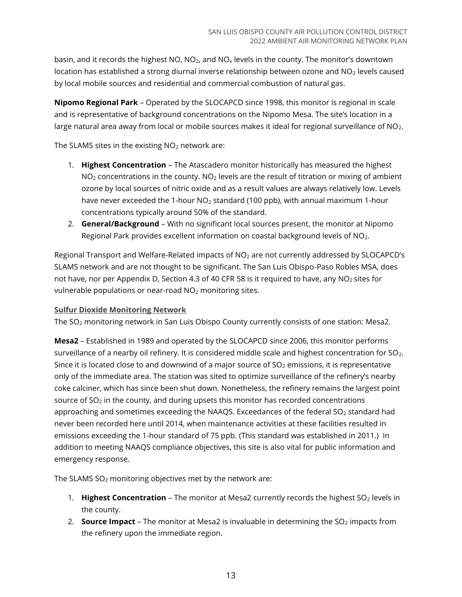basin, and it records the highest NO,  $NO<sub>2</sub>$ , and NO<sub>x</sub> levels in the county. The monitor's downtown location has established a strong diurnal inverse relationship between ozone and  $NO<sub>2</sub>$  levels caused by local mobile sources and residential and commercial combustion of natural gas.

**Nipomo Regional Park** – Operated by the SLOCAPCD since 1998, this monitor is regional in scale and is representative of background concentrations on the Nipomo Mesa. The site's location in a large natural area away from local or mobile sources makes it ideal for regional surveillance of  $NO<sub>2</sub>$ .

The SLAMS sites in the existing  $NO<sub>2</sub>$  network are:

- 1. **Highest Concentration** The Atascadero monitor historically has measured the highest  $NO<sub>2</sub>$  concentrations in the county.  $NO<sub>2</sub>$  levels are the result of titration or mixing of ambient ozone by local sources of nitric oxide and as a result values are always relatively low. Levels have never exceeded the 1-hour  $NO<sub>2</sub>$  standard (100 ppb), with annual maximum 1-hour concentrations typically around 50% of the standard.
- 2. **General/Background** With no significant local sources present, the monitor at Nipomo Regional Park provides excellent information on coastal background levels of NO<sub>2</sub>.

Regional Transport and Welfare-Related impacts of NO<sub>2</sub> are not currently addressed by SLOCAPCD's SLAMS network and are not thought to be significant. The San Luis Obispo-Paso Robles MSA, does not have, nor per Appendix D, Section 4.3 of 40 CFR 58 is it required to have, any  $NO<sub>2</sub>$  sites for vulnerable populations or near-road NO<sub>2</sub> monitoring sites.

# <span id="page-12-0"></span>**Sulfur Dioxide Monitoring Network**

The SO<sup>2</sup> monitoring network in San Luis Obispo County currently consists of one station: Mesa2.

**Mesa2** – Established in 1989 and operated by the SLOCAPCD since 2006, this monitor performs surveillance of a nearby oil refinery. It is considered middle scale and highest concentration for SO<sub>2</sub>. Since it is located close to and downwind of a major source of  $SO<sub>2</sub>$  emissions, it is representative only of the immediate area. The station was sited to optimize surveillance of the refinery's nearby coke calciner, which has since been shut down. Nonetheless, the refinery remains the largest point source of  $SO<sub>2</sub>$  in the county, and during upsets this monitor has recorded concentrations approaching and sometimes exceeding the NAAQS. Exceedances of the federal  $SO<sub>2</sub>$  standard had never been recorded here until 2014, when maintenance activities at these facilities resulted in emissions exceeding the 1-hour standard of 75 ppb. (This standard was established in 2011.) In addition to meeting NAAQS compliance objectives, this site is also vital for public information and emergency response.

The SLAMS  $SO<sub>2</sub>$  monitoring objectives met by the network are:

- 1. **Highest Concentration** The monitor at Mesa2 currently records the highest SO<sub>2</sub> levels in the county.
- 2. **Source Impact** The monitor at Mesa2 is invaluable in determining the SO<sub>2</sub> impacts from the refinery upon the immediate region.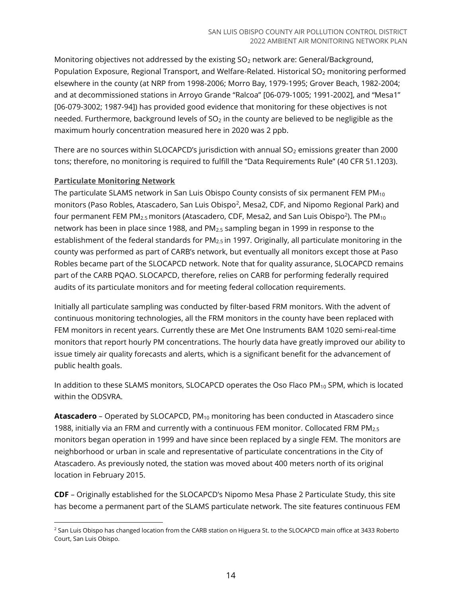Monitoring objectives not addressed by the existing SO<sub>2</sub> network are: General/Background, Population Exposure, Regional Transport, and Welfare-Related. Historical SO<sup>2</sup> monitoring performed elsewhere in the county (at NRP from 1998-2006; Morro Bay, 1979-1995; Grover Beach, 1982-2004; and at decommissioned stations in Arroyo Grande "Ralcoa" [06-079-1005; 1991-2002], and "Mesa1" [06-079-3002; 1987-94]) has provided good evidence that monitoring for these objectives is not needed. Furthermore, background levels of  $SO<sub>2</sub>$  in the county are believed to be negligible as the maximum hourly concentration measured here in 2020 was 2 ppb.

There are no sources within SLOCAPCD's jurisdiction with annual  $SO<sub>2</sub>$  emissions greater than 2000 tons; therefore, no monitoring is required to fulfill the "Data Requirements Rule" (40 CFR 51.1203).

#### <span id="page-13-0"></span>**Particulate Monitoring Network**

The particulate SLAMS network in San Luis Obispo County consists of six permanent FEM  $PM_{10}$ monitors (Paso Robles, Atascadero, San Luis Obispo<sup>[2](#page-13-1)</sup>, Mesa2, CDF, and Nipomo Regional Park) and four permanent FEM PM $_{2.5}$ monitors (Atascadero, CDF, Mesa2, and San Luis Obispo<sup>2</sup>). The PM $_{10}$ network has been in place since 1988, and  $PM<sub>2.5</sub>$  sampling began in 1999 in response to the establishment of the federal standards for  $PM<sub>2.5</sub>$  in 1997. Originally, all particulate monitoring in the county was performed as part of CARB's network, but eventually all monitors except those at Paso Robles became part of the SLOCAPCD network. Note that for quality assurance, SLOCAPCD remains part of the CARB PQAO. SLOCAPCD, therefore, relies on CARB for performing federally required audits of its particulate monitors and for meeting federal collocation requirements.

Initially all particulate sampling was conducted by filter-based FRM monitors. With the advent of continuous monitoring technologies, all the FRM monitors in the county have been replaced with FEM monitors in recent years. Currently these are Met One Instruments BAM 1020 semi-real-time monitors that report hourly PM concentrations. The hourly data have greatly improved our ability to issue timely air quality forecasts and alerts, which is a significant benefit for the advancement of public health goals.

In addition to these SLAMS monitors, SLOCAPCD operates the Oso Flaco PM<sub>10</sub> SPM, which is located within the ODSVRA.

Atascadero - Operated by SLOCAPCD, PM<sub>10</sub> monitoring has been conducted in Atascadero since 1988, initially via an FRM and currently with a continuous FEM monitor. Collocated FRM PM2.5 monitors began operation in 1999 and have since been replaced by a single FEM. The monitors are neighborhood or urban in scale and representative of particulate concentrations in the City of Atascadero. As previously noted, the station was moved about 400 meters north of its original location in February 2015.

**CDF** – Originally established for the SLOCAPCD's Nipomo Mesa Phase 2 Particulate Study, this site has become a permanent part of the SLAMS particulate network. The site features continuous FEM

<span id="page-13-1"></span><sup>&</sup>lt;sup>2</sup> San Luis Obispo has changed location from the CARB station on Higuera St. to the SLOCAPCD main office at 3433 Roberto Court, San Luis Obispo.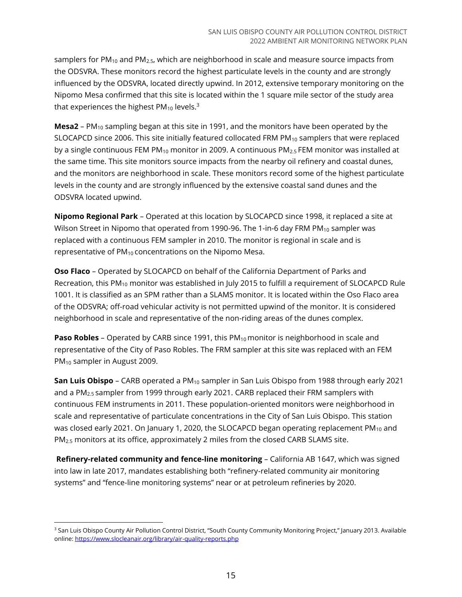samplers for  $PM_{10}$  and  $PM_{2.5}$ , which are neighborhood in scale and measure source impacts from the ODSVRA. These monitors record the highest particulate levels in the county and are strongly influenced by the ODSVRA, located directly upwind. In 2012, extensive temporary monitoring on the Nipomo Mesa confirmed that this site is located within the 1 square mile sector of the study area that experiences the highest  $PM_{10}$  levels[.](#page-14-0)<sup>3</sup>

**Mesa2** – PM<sub>10</sub> sampling began at this site in 1991, and the monitors have been operated by the SLOCAPCD since 2006. This site initially featured collocated FRM PM $_{10}$  samplers that were replaced by a single continuous FEM PM<sub>10</sub> monitor in 2009. A continuous PM<sub>2.5</sub> FEM monitor was installed at the same time. This site monitors source impacts from the nearby oil refinery and coastal dunes, and the monitors are neighborhood in scale. These monitors record some of the highest particulate levels in the county and are strongly influenced by the extensive coastal sand dunes and the ODSVRA located upwind.

**Nipomo Regional Park** – Operated at this location by SLOCAPCD since 1998, it replaced a site at Wilson Street in Nipomo that operated from 1990-96. The 1-in-6 day FRM PM $_{10}$  sampler was replaced with a continuous FEM sampler in 2010. The monitor is regional in scale and is representative of PM10 concentrations on the Nipomo Mesa.

**Oso Flaco** – Operated by SLOCAPCD on behalf of the California Department of Parks and Recreation, this PM<sub>10</sub> monitor was established in July 2015 to fulfill a requirement of SLOCAPCD Rule 1001. It is classified as an SPM rather than a SLAMS monitor. It is located within the Oso Flaco area of the ODSVRA; off-road vehicular activity is not permitted upwind of the monitor. It is considered neighborhood in scale and representative of the non-riding areas of the dunes complex.

**Paso Robles** – Operated by CARB since 1991, this PM<sub>10</sub> monitor is neighborhood in scale and representative of the City of Paso Robles. The FRM sampler at this site was replaced with an FEM PM<sup>10</sup> sampler in August 2009.

**San Luis Obispo** – CARB operated a PM<sup>10</sup> sampler in San Luis Obispo from 1988 through early 2021 and a PM<sub>2.5</sub> sampler from 1999 through early 2021. CARB replaced their FRM samplers with continuous FEM instruments in 2011. These population-oriented monitors were neighborhood in scale and representative of particulate concentrations in the City of San Luis Obispo. This station was closed early 2021. On January 1, 2020, the SLOCAPCD began operating replacement  $PM_{10}$  and PM<sub>2.5</sub> monitors at its office, approximately 2 miles from the closed CARB SLAMS site.

**Refinery-related community and fence-line monitoring** – California AB 1647, which was signed into law in late 2017, mandates establishing both "refinery-related community air monitoring systems" and "fence-line monitoring systems" near or at petroleum refineries by 2020.

<span id="page-14-0"></span><sup>&</sup>lt;sup>3</sup> San Luis Obispo County Air Pollution Control District, "South County Community Monitoring Project," January 2013. Available online[: https://www.slocleanair.org/library/air-quality-reports.php](https://www.slocleanair.org/library/air-quality-reports.php)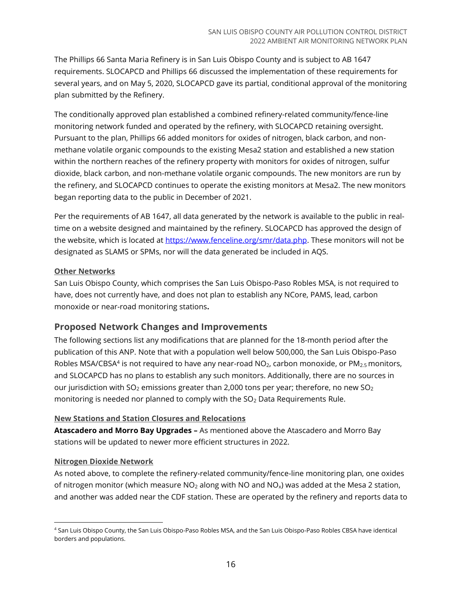The Phillips 66 Santa Maria Refinery is in San Luis Obispo County and is subject to AB 1647 requirements. SLOCAPCD and Phillips 66 discussed the implementation of these requirements for several years, and on May 5, 2020, SLOCAPCD gave its partial, conditional approval of the monitoring plan submitted by the Refinery.

The conditionally approved plan established a combined refinery-related community/fence-line monitoring network funded and operated by the refinery, with SLOCAPCD retaining oversight. Pursuant to the plan, Phillips 66 added monitors for oxides of nitrogen, black carbon, and nonmethane volatile organic compounds to the existing Mesa2 station and established a new station within the northern reaches of the refinery property with monitors for oxides of nitrogen, sulfur dioxide, black carbon, and non-methane volatile organic compounds. The new monitors are run by the refinery, and SLOCAPCD continues to operate the existing monitors at Mesa2. The new monitors began reporting data to the public in December of 2021.

Per the requirements of AB 1647, all data generated by the network is available to the public in realtime on a website designed and maintained by the refinery. SLOCAPCD has approved the design of the website, which is located at [https://www.fenceline.org/smr/data.php.](https://www.fenceline.org/smr/data.php) These monitors will not be designated as SLAMS or SPMs, nor will the data generated be included in AQS.

# <span id="page-15-0"></span>**Other Networks**

San Luis Obispo County, which comprises the San Luis Obispo-Paso Robles MSA, is not required to have, does not currently have, and does not plan to establish any NCore, PAMS, lead, carbon monoxide or near-road monitoring stations**.**

# <span id="page-15-1"></span>**Proposed Network Changes and Improvements**

The following sections list any modifications that are planned for the 18-month period after the publication of this ANP. Note that with a population well below 500,000, the San Luis Obispo-Paso Robles MSA/CBSA $4$  is not required to have any near-road NO<sub>2</sub>, carbon monoxide, or PM<sub>2.5</sub> monitors, and SLOCAPCD has no plans to establish any such monitors. Additionally, there are no sources in our jurisdiction with  $SO_2$  emissions greater than 2,000 tons per year; therefore, no new  $SO_2$ monitoring is needed nor planned to comply with the SO<sub>2</sub> Data Requirements Rule.

# <span id="page-15-2"></span>**New Stations and Station Closures and Relocations**

**Atascadero and Morro Bay Upgrades –** As mentioned above the Atascadero and Morro Bay stations will be updated to newer more efficient structures in 2022.

# <span id="page-15-3"></span>**Nitrogen Dioxide Network**

As noted above, to complete the refinery-related community/fence-line monitoring plan, one oxides of nitrogen monitor (which measure  $NO<sub>2</sub>$  along with NO and NO<sub>x</sub>) was added at the Mesa 2 station, and another was added near the CDF station. These are operated by the refinery and reports data to

<span id="page-15-4"></span><sup>4</sup> San Luis Obispo County, the San Luis Obispo-Paso Robles MSA, and the San Luis Obispo-Paso Robles CBSA have identical borders and populations.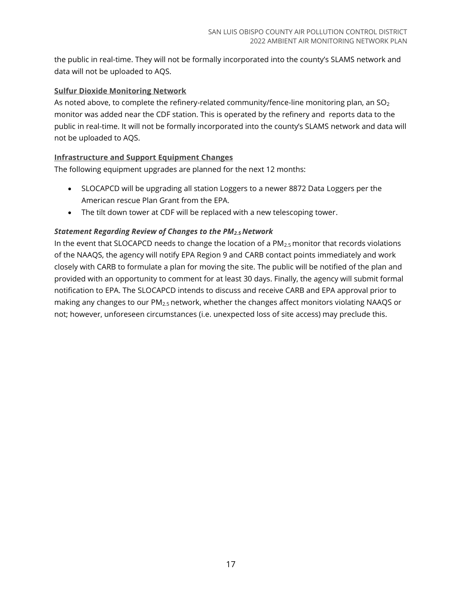the public in real-time. They will not be formally incorporated into the county's SLAMS network and data will not be uploaded to AQS.

# <span id="page-16-0"></span>**Sulfur Dioxide Monitoring Network**

As noted above, to complete the refinery-related community/fence-line monitoring plan, an  $SO<sub>2</sub>$ monitor was added near the CDF station. This is operated by the refinery and reports data to the public in real-time. It will not be formally incorporated into the county's SLAMS network and data will not be uploaded to AQS.

# <span id="page-16-1"></span>**Infrastructure and Support Equipment Changes**

The following equipment upgrades are planned for the next 12 months:

- SLOCAPCD will be upgrading all station Loggers to a newer 8872 Data Loggers per the American rescue Plan Grant from the EPA.
- The tilt down tower at CDF will be replaced with a new telescoping tower.

# *Statement Regarding Review of Changes to the PM2.5 Network*

In the event that SLOCAPCD needs to change the location of a  $PM<sub>2.5</sub>$  monitor that records violations of the NAAQS, the agency will notify EPA Region 9 and CARB contact points immediately and work closely with CARB to formulate a plan for moving the site. The public will be notified of the plan and provided with an opportunity to comment for at least 30 days. Finally, the agency will submit formal notification to EPA. The SLOCAPCD intends to discuss and receive CARB and EPA approval prior to making any changes to our PM2.5 network, whether the changes affect monitors violating NAAQS or not; however, unforeseen circumstances (i.e. unexpected loss of site access) may preclude this.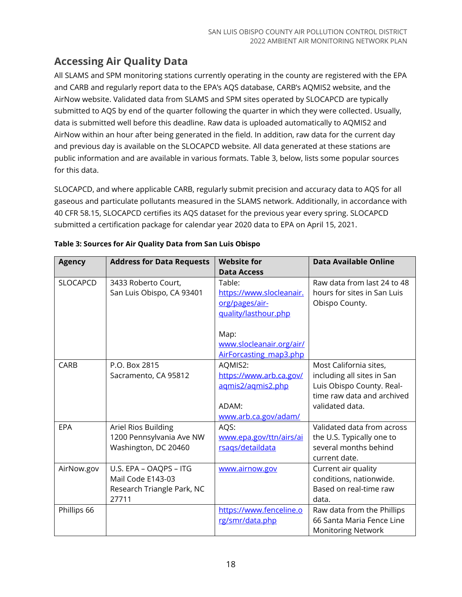# <span id="page-17-0"></span>**Accessing Air Quality Data**

All SLAMS and SPM monitoring stations currently operating in the county are registered with the EPA and CARB and regularly report data to the EPA's AQS database, CARB's AQMIS2 website, and the AirNow website. Validated data from SLAMS and SPM sites operated by SLOCAPCD are typically submitted to AQS by end of the quarter following the quarter in which they were collected. Usually, data is submitted well before this deadline. Raw data is uploaded automatically to AQMIS2 and AirNow within an hour after being generated in the field. In addition, raw data for the current day and previous day is available on the SLOCAPCD website. All data generated at these stations are public information and are available in various formats. Table 3, below, lists some popular sources for this data.

SLOCAPCD, and where applicable CARB, regularly submit precision and accuracy data to AQS for all gaseous and particulate pollutants measured in the SLAMS network. Additionally, in accordance with 40 CFR 58.15, SLOCAPCD certifies its AQS dataset for the previous year every spring. SLOCAPCD submitted a certification package for calendar year 2020 data to EPA on April 15, 2021.

| <b>Agency</b>   | <b>Address for Data Requests</b> | <b>Website for</b>            | <b>Data Available Online</b> |
|-----------------|----------------------------------|-------------------------------|------------------------------|
|                 |                                  | <b>Data Access</b>            |                              |
| <b>SLOCAPCD</b> | 3433 Roberto Court,              | Table:                        | Raw data from last 24 to 48  |
|                 | San Luis Obispo, CA 93401        | https://www.slocleanair.      | hours for sites in San Luis  |
|                 |                                  | org/pages/air-                | Obispo County.               |
|                 |                                  | quality/lasthour.php          |                              |
|                 |                                  |                               |                              |
|                 |                                  | Map:                          |                              |
|                 |                                  | www.slocleanair.org/air/      |                              |
|                 |                                  | <b>AirForcasting map3.php</b> |                              |
| CARB            | P.O. Box 2815                    | AQMIS2:                       | Most California sites,       |
|                 | Sacramento, CA 95812             | https://www.arb.ca.gov/       | including all sites in San   |
|                 |                                  | agmis2/agmis2.php             | Luis Obispo County. Real-    |
|                 |                                  |                               | time raw data and archived   |
|                 |                                  | ADAM:                         | validated data.              |
|                 |                                  | www.arb.ca.gov/adam/          |                              |
| <b>EPA</b>      | Ariel Rios Building              | AQS:                          | Validated data from across   |
|                 | 1200 Pennsylvania Ave NW         | www.epa.gov/ttn/airs/ai       | the U.S. Typically one to    |
|                 | Washington, DC 20460             | rsags/detaildata              | several months behind        |
|                 |                                  |                               | current date.                |
| AirNow.gov      | U.S. EPA - OAQPS - ITG           | www.airnow.gov                | Current air quality          |
|                 | Mail Code E143-03                |                               | conditions, nationwide.      |
|                 | Research Triangle Park, NC       |                               | Based on real-time raw       |
|                 | 27711                            |                               | data.                        |
| Phillips 66     |                                  | https://www.fenceline.o       | Raw data from the Phillips   |
|                 |                                  | rg/smr/data.php               | 66 Santa Maria Fence Line    |
|                 |                                  |                               | <b>Monitoring Network</b>    |

# **Table 3: Sources for Air Quality Data from San Luis Obispo**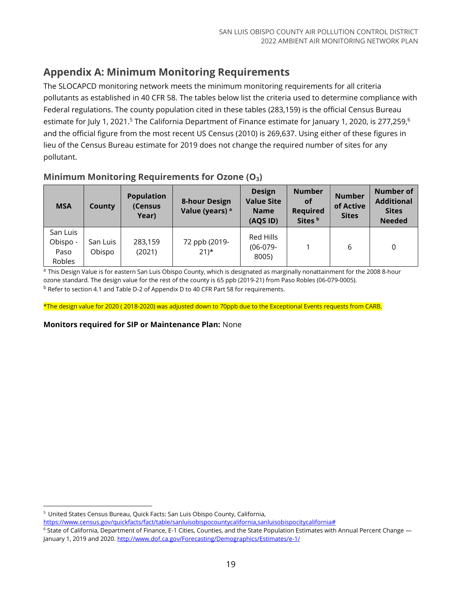# <span id="page-18-0"></span>**Appendix A: Minimum Monitoring Requirements**

The SLOCAPCD monitoring network meets the minimum monitoring requirements for all criteria pollutants as established in 40 CFR 58. The tables below list the criteria used to determine compliance with Federal regulations. The county population cited in these tables (283,159) is the official Census Bureau estimate for July 1, 2021. $^5$  $^5$  The California Department of Finance estimate for January 1, 2020, is 277,259, $^6$  $^6$ and the official figure from the most recent US Census (2010) is 269,637. Using either of these figures in lieu of the Census Bureau estimate for 2019 does not change the required number of sites for any pollutant.

# <span id="page-18-1"></span>**Minimum Monitoring Requirements for Ozone (O3)**

| <b>MSA</b>                             | County             | <b>Population</b><br>(Census<br>Year) | <b>8-hour Design</b><br>Value (years) <sup>a</sup> | <b>Design</b><br><b>Value Site</b><br><b>Name</b><br>(AQS ID) | <b>Number</b><br>οf<br><b>Required</b><br>Sites <sup>b</sup> | <b>Number</b><br>of Active<br><b>Sites</b> | <b>Number of</b><br><b>Additional</b><br><b>Sites</b><br><b>Needed</b> |
|----------------------------------------|--------------------|---------------------------------------|----------------------------------------------------|---------------------------------------------------------------|--------------------------------------------------------------|--------------------------------------------|------------------------------------------------------------------------|
| San Luis<br>Obispo -<br>Paso<br>Robles | San Luis<br>Obispo | 283,159<br>(2021)                     | 72 ppb (2019-<br>$21)*$                            | Red Hills<br>$(06-079-$<br>8005)                              |                                                              | 6                                          | $\mathbf 0$                                                            |

a This Design Value is for eastern San Luis Obispo County, which is designated as marginally nonattainment for the 2008 8-hour ozone standard. The design value for the rest of the county is 65 ppb (2019-21) from Paso Robles (06-079-0005). <sup>b</sup> Refer to section 4.1 and Table D-2 of Appendix D to 40 CFR Part 58 for requirements.

\*The design value for 2020 ( 2018-2020) was adjusted down to 70ppb due to the Exceptional Events requests from CARB.

#### **Monitors required for SIP or Maintenance Plan:** None

<sup>5</sup> United States Census Bureau, Quick Facts: San Luis Obispo County, California,

<span id="page-18-2"></span>[https://www.census.gov/quickfacts/fact/table/sanluisobispocountycalifornia,sanluisobispocitycalifornia#](https://www.census.gov/quickfacts/fact/table/sanluisobispocountycalifornia,sanluisobispocitycalifornia)

<span id="page-18-3"></span> $6$  State of California, Department of Finance, E-1 Cities, Counties, and the State Population Estimates with Annual Percent Change  $-$ January 1, 2019 and 2020[. http://www.dof.ca.gov/Forecasting/Demographics/Estimates/e-1/](http://www.dof.ca.gov/Forecasting/Demographics/Estimates/e-1/)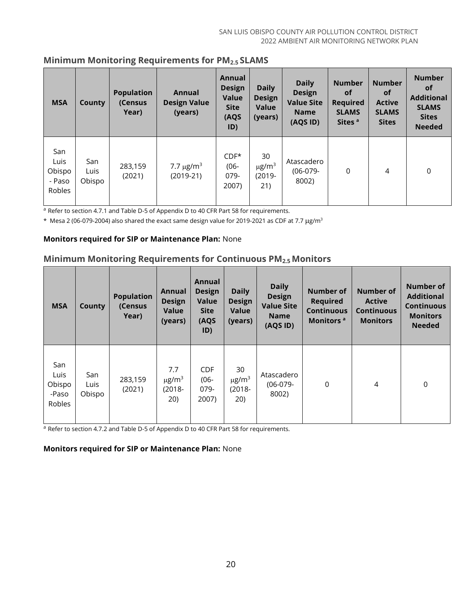# <span id="page-19-0"></span>**Minimum Monitoring Requirements for PM2.5 SLAMS**

| <b>MSA</b>                                | <b>County</b>         | <b>Population</b><br>(Census<br>Year) | <b>Annual</b><br><b>Design Value</b><br>(years) | Annual<br><b>Design</b><br>Value<br><b>Site</b><br>(AQS<br>ID) | <b>Daily</b><br><b>Design</b><br><b>Value</b><br>(years) | <b>Daily</b><br><b>Design</b><br><b>Value Site</b><br><b>Name</b><br>(AQS ID) | <b>Number</b><br><b>of</b><br><b>Required</b><br><b>SLAMS</b><br>Sites <sup>a</sup> | <b>Number</b><br><b>of</b><br><b>Active</b><br><b>SLAMS</b><br><b>Sites</b> | <b>Number</b><br><b>of</b><br><b>Additional</b><br><b>SLAMS</b><br><b>Sites</b><br><b>Needed</b> |
|-------------------------------------------|-----------------------|---------------------------------------|-------------------------------------------------|----------------------------------------------------------------|----------------------------------------------------------|-------------------------------------------------------------------------------|-------------------------------------------------------------------------------------|-----------------------------------------------------------------------------|--------------------------------------------------------------------------------------------------|
| San<br>Luis<br>Obispo<br>- Paso<br>Robles | San<br>Luis<br>Obispo | 283,159<br>(2021)                     | 7.7 $\mu$ g/m <sup>3</sup><br>$(2019-21)$       | $CDF*$<br>$(06 -$<br>$079 -$<br>2007)                          | 30<br>$\mu$ g/m <sup>3</sup><br>$(2019 -$<br>21)         | Atascadero<br>$(06-079-$<br>8002)                                             | 0                                                                                   | $\overline{4}$                                                              | $\Omega$                                                                                         |

a Refer to section 4.7.1 and Table D-5 of Appendix D to 40 CFR Part 58 for requirements.

\* Mesa 2 (06-079-2004) also shared the exact same design value for 2019-2021 as CDF at 7.7  $\mu$ g/m<sup>3</sup>

#### **Monitors required for SIP or Maintenance Plan:** None

#### <span id="page-19-1"></span>**Minimum Monitoring Requirements for Continuous PM2.5 Monitors**

| <b>MSA</b>                               | <b>County</b>         | <b>Population</b><br>(Census<br>Year) | Annual<br><b>Design</b><br><b>Value</b><br>(years) | Annual<br><b>Design</b><br><b>Value</b><br><b>Site</b><br>(AQS<br>ID) | <b>Daily</b><br><b>Design</b><br><b>Value</b><br>(years) | <b>Daily</b><br><b>Design</b><br><b>Value Site</b><br><b>Name</b><br>(AQS ID) | <b>Number of</b><br><b>Required</b><br><b>Continuous</b><br>Monitors <sup>a</sup> | <b>Number of</b><br><b>Active</b><br><b>Continuous</b><br><b>Monitors</b> | <b>Number of</b><br><b>Additional</b><br><b>Continuous</b><br><b>Monitors</b><br><b>Needed</b> |
|------------------------------------------|-----------------------|---------------------------------------|----------------------------------------------------|-----------------------------------------------------------------------|----------------------------------------------------------|-------------------------------------------------------------------------------|-----------------------------------------------------------------------------------|---------------------------------------------------------------------------|------------------------------------------------------------------------------------------------|
| San<br>Luis<br>Obispo<br>-Paso<br>Robles | San<br>Luis<br>Obispo | 283,159<br>(2021)                     | 7.7<br>$\mu$ g/m <sup>3</sup><br>$(2018 -$<br>20)  | <b>CDF</b><br>$(06 -$<br>079-<br>2007)                                | 30<br>$\mu$ g/m <sup>3</sup><br>$(2018 -$<br>20)         | Atascadero<br>$(06-079-$<br>8002)                                             | 0                                                                                 | 4                                                                         | 0                                                                                              |

<sup>a</sup> Refer to section 4.7.2 and Table D-5 of Appendix D to 40 CFR Part 58 for requirements.

#### **Monitors required for SIP or Maintenance Plan:** None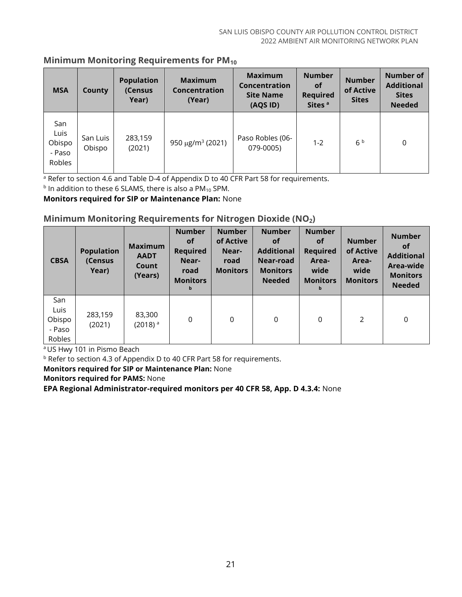# <span id="page-20-0"></span>**Minimum Monitoring Requirements for PM<sup>10</sup>**

| <b>MSA</b>                                | County             | <b>Population</b><br>(Census<br>Year) | <b>Maximum</b><br>Concentration<br>(Year) | <b>Maximum</b><br>Concentration<br><b>Site Name</b><br>$(AQS$ ID) | <b>Number</b><br><b>of</b><br><b>Required</b><br>Sites <sup>a</sup> | <b>Number</b><br>of Active<br><b>Sites</b> | <b>Number of</b><br><b>Additional</b><br><b>Sites</b><br><b>Needed</b> |
|-------------------------------------------|--------------------|---------------------------------------|-------------------------------------------|-------------------------------------------------------------------|---------------------------------------------------------------------|--------------------------------------------|------------------------------------------------------------------------|
| San<br>Luis<br>Obispo<br>- Paso<br>Robles | San Luis<br>Obispo | 283,159<br>(2021)                     | 950 $\mu$ g/m <sup>3</sup> (2021)         | Paso Robles (06-<br>079-0005)                                     | $1 - 2$                                                             | 6 <sup>b</sup>                             | $\mathbf 0$                                                            |

 $\frac{a}{a}$  Refer to section 4.6 and Table D-4 of Appendix D to 40 CFR Part 58 for requirements.

 $b$  In addition to these 6 SLAMS, there is also a PM $_{10}$  SPM.

**Monitors required for SIP or Maintenance Plan:** None

# <span id="page-20-1"></span>**Minimum Monitoring Requirements for Nitrogen Dioxide (NO2)**

| <b>CBSA</b>                               | <b>Population</b><br>(Census<br>Year) | <b>Maximum</b><br><b>AADT</b><br>Count<br>(Years) | <b>Number</b><br><b>of</b><br><b>Required</b><br>Near-<br>road<br><b>Monitors</b><br>$\mathbf b$ | <b>Number</b><br>of Active<br>Near-<br>road<br><b>Monitors</b> | <b>Number</b><br><b>of</b><br><b>Additional</b><br>Near-road<br><b>Monitors</b><br><b>Needed</b> | <b>Number</b><br><b>of</b><br><b>Required</b><br>Area-<br>wide<br><b>Monitors</b><br>b | <b>Number</b><br>of Active<br>Area-<br>wide<br><b>Monitors</b> | <b>Number</b><br>οf<br><b>Additional</b><br>Area-wide<br><b>Monitors</b><br><b>Needed</b> |
|-------------------------------------------|---------------------------------------|---------------------------------------------------|--------------------------------------------------------------------------------------------------|----------------------------------------------------------------|--------------------------------------------------------------------------------------------------|----------------------------------------------------------------------------------------|----------------------------------------------------------------|-------------------------------------------------------------------------------------------|
| San<br>Luis<br>Obispo<br>- Paso<br>Robles | 283,159<br>(2021)                     | 83,300<br>$(2018)$ <sup>a</sup>                   | $\mathbf 0$                                                                                      | 0                                                              | 0                                                                                                | 0                                                                                      | 2                                                              | 0                                                                                         |

<sup>a</sup> US Hwy 101 in Pismo Beach

**b** Refer to section 4.3 of Appendix D to 40 CFR Part 58 for requirements.

**Monitors required for SIP or Maintenance Plan:** None

**Monitors required for PAMS:** None

**EPA Regional Administrator-required monitors per 40 CFR 58, App. D 4.3.4:** None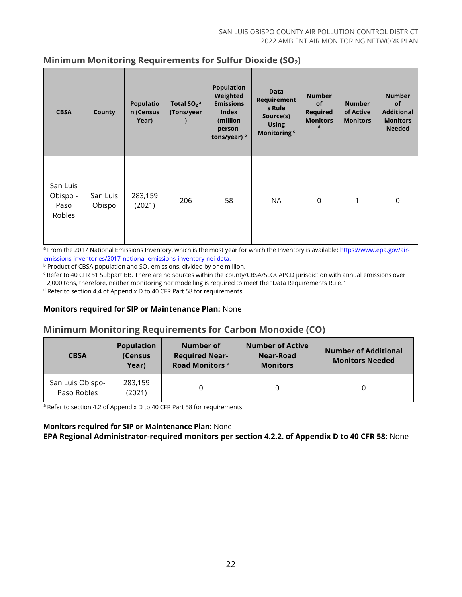| <b>CBSA</b>                            | County             | <b>Populatio</b><br>n (Census<br>Year) | Total $SO_2$ <sup>a</sup><br>(Tons/year | <b>Population</b><br>Weighted<br><b>Emissions</b><br><b>Index</b><br>(million<br>person-<br>tons/year) b | <b>Data</b><br>Requirement<br>s Rule<br>Source(s)<br><b>Using</b><br>Monitoring <sup>c</sup> | <b>Number</b><br>of<br><b>Required</b><br><b>Monitors</b><br>d | <b>Number</b><br>of Active<br><b>Monitors</b> | <b>Number</b><br>of<br><b>Additional</b><br><b>Monitors</b><br><b>Needed</b> |
|----------------------------------------|--------------------|----------------------------------------|-----------------------------------------|----------------------------------------------------------------------------------------------------------|----------------------------------------------------------------------------------------------|----------------------------------------------------------------|-----------------------------------------------|------------------------------------------------------------------------------|
| San Luis<br>Obispo -<br>Paso<br>Robles | San Luis<br>Obispo | 283,159<br>(2021)                      | 206                                     | 58                                                                                                       | NA.                                                                                          | $\Omega$                                                       | 1                                             | $\Omega$                                                                     |

# <span id="page-21-0"></span>**Minimum Monitoring Requirements for Sulfur Dioxide (SO2)**

a From the 2017 National Emissions Inventory, which is the most year for which the Inventory is available[: https://www.epa.gov/air](https://www.epa.gov/air-emissions-inventories/2017-national-emissions-inventory-nei-data)[emissions-inventories/2017-national-emissions-inventory-nei-data.](https://www.epa.gov/air-emissions-inventories/2017-national-emissions-inventory-nei-data)

 $b$  Product of CBSA population and SO<sub>2</sub> emissions, divided by one million.

<sup>c</sup> Refer to 40 CFR 51 Subpart BB. There are no sources within the county/CBSA/SLOCAPCD jurisdiction with annual emissions over 2,000 tons, therefore, neither monitoring nor modelling is required to meet the "Data Requirements Rule."

<sup>d</sup> Refer to section 4.4 of Appendix D to 40 CFR Part 58 for requirements.

### **Monitors required for SIP or Maintenance Plan:** None

# <span id="page-21-1"></span>**Minimum Monitoring Requirements for Carbon Monoxide (CO)**

| <b>CBSA</b>                     | <b>Population</b><br>(Census<br>Year) | Number of<br><b>Required Near-</b><br>Road Monitors <sup>a</sup> | <b>Number of Active</b><br>Near-Road<br><b>Monitors</b> | <b>Number of Additional</b><br><b>Monitors Needed</b> |  |
|---------------------------------|---------------------------------------|------------------------------------------------------------------|---------------------------------------------------------|-------------------------------------------------------|--|
| San Luis Obispo-<br>Paso Robles | 283,159<br>(2021)                     |                                                                  |                                                         |                                                       |  |

<sup>a</sup> Refer to section 4.2 of Appendix D to 40 CFR Part 58 for requirements.

#### **Monitors required for SIP or Maintenance Plan:** None

**EPA Regional Administrator-required monitors per section 4.2.2. of Appendix D to 40 CFR 58:** None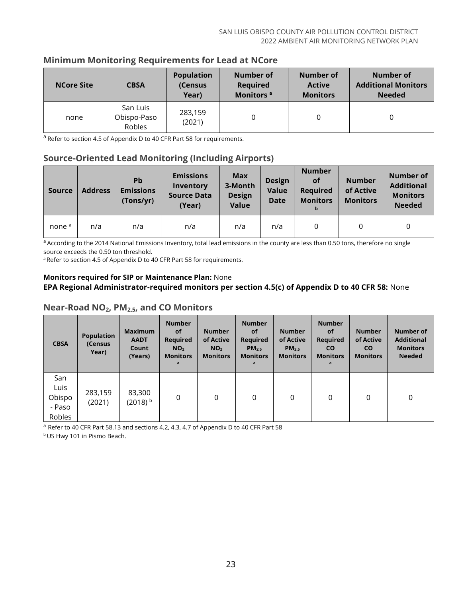# <span id="page-22-0"></span>**Minimum Monitoring Requirements for Lead at NCore**

| <b>NCore Site</b> | <b>CBSA</b>                       | <b>Population</b><br>(Census<br>Year) | <b>Number of</b><br>Required<br>Monitors <sup>a</sup> | Number of<br><b>Active</b><br><b>Monitors</b> | Number of<br><b>Additional Monitors</b><br><b>Needed</b> |
|-------------------|-----------------------------------|---------------------------------------|-------------------------------------------------------|-----------------------------------------------|----------------------------------------------------------|
| none              | San Luis<br>Obispo-Paso<br>Robles | 283,159<br>(2021)                     | 0                                                     |                                               |                                                          |

 $a$  Refer to section 4.5 of Appendix D to 40 CFR Part 58 for requirements.

# <span id="page-22-1"></span>**Source-Oriented Lead Monitoring (Including Airports)**

| <b>Source</b>     | <b>Address</b> | <b>Pb</b><br><b>Emissions</b><br>(Tons/yr) | <b>Emissions</b><br>Inventory<br><b>Source Data</b><br>(Year) | <b>Max</b><br>3-Month<br><b>Design</b><br><b>Value</b> | <b>Design</b><br><b>Value</b><br><b>Date</b> | <b>Number</b><br><b>of</b><br><b>Required</b><br><b>Monitors</b><br>b | <b>Number</b><br>of Active<br><b>Monitors</b> | Number of<br><b>Additional</b><br><b>Monitors</b><br><b>Needed</b> |
|-------------------|----------------|--------------------------------------------|---------------------------------------------------------------|--------------------------------------------------------|----------------------------------------------|-----------------------------------------------------------------------|-----------------------------------------------|--------------------------------------------------------------------|
| none <sup>a</sup> | n/a            | n/a                                        | n/a                                                           | n/a                                                    | n/a                                          | 0                                                                     |                                               |                                                                    |

a<br>According to the 2014 National Emissions Inventory, total lead emissions in the county are less than 0.50 tons, therefore no single source exceeds the 0.50 ton threshold.

<sup>a</sup> Refer to section 4.5 of Appendix D to 40 CFR Part 58 for requirements.

#### **Monitors required for SIP or Maintenance Plan:** None **EPA Regional Administrator-required monitors per section 4.5(c) of Appendix D to 40 CFR 58:** None

| <b>CBSA</b>                               | <b>Population</b><br>(Census<br>Year) | <b>Maximum</b><br><b>AADT</b><br>Count<br>(Years) | <b>Number</b><br>0f<br><b>Required</b><br>NO <sub>2</sub><br><b>Monitors</b><br>a | <b>Number</b><br>of Active<br>NO <sub>2</sub><br><b>Monitors</b> | <b>Number</b><br><b>of</b><br><b>Required</b><br>PM <sub>25</sub><br><b>Monitors</b><br>$\mathbf{a}$ | <b>Number</b><br>of Active<br>PM <sub>25</sub><br><b>Monitors</b> | <b>Number</b><br><b>of</b><br>Required<br><b>CO</b><br><b>Monitors</b><br>a | <b>Number</b><br>of Active<br><b>CO</b><br><b>Monitors</b> | Number of<br><b>Additional</b><br><b>Monitors</b><br><b>Needed</b> |
|-------------------------------------------|---------------------------------------|---------------------------------------------------|-----------------------------------------------------------------------------------|------------------------------------------------------------------|------------------------------------------------------------------------------------------------------|-------------------------------------------------------------------|-----------------------------------------------------------------------------|------------------------------------------------------------|--------------------------------------------------------------------|
| San<br>Luis<br>Obispo<br>- Paso<br>Robles | 283,159<br>(2021)                     | 83,300<br>$(2018)^{b}$                            | 0                                                                                 | 0                                                                | 0                                                                                                    | 0                                                                 | $\Omega$                                                                    | 0                                                          | 0                                                                  |

# <span id="page-22-2"></span>**Near-Road NO2, PM2.5, and CO Monitors**

<sup>a</sup> Refer to 40 CFR Part 58.13 and sections 4.2, 4.3, 4.7 of Appendix D to 40 CFR Part 58

**b US Hwy 101 in Pismo Beach.**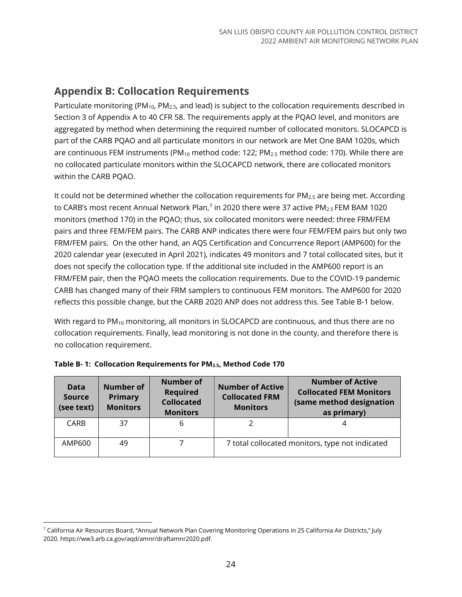# <span id="page-23-0"></span>**Appendix B: Collocation Requirements**

Particulate monitoring (PM<sub>10</sub>, PM<sub>2.5</sub>, and lead) is subject to the collocation requirements described in Section 3 of Appendix A to 40 CFR 58. The requirements apply at the PQAO level, and monitors are aggregated by method when determining the required number of collocated monitors. SLOCAPCD is part of the CARB PQAO and all particulate monitors in our network are Met One BAM 1020s, which are continuous FEM instruments (PM<sub>10</sub> method code: 122; PM<sub>2.5</sub> method code: 170). While there are no collocated particulate monitors within the SLOCAPCD network, there are collocated monitors within the CARB PQAO.

It could not be determined whether the collocation requirements for  $PM_{2.5}$  are being met. According to CARB's most recent Annual Network Plan[,](#page-23-1)<sup>7</sup> in 2020 there were 37 active PM<sub>2.5</sub> FEM BAM 1020 monitors (method 170) in the PQAO; thus, six collocated monitors were needed: three FRM/FEM pairs and three FEM/FEM pairs. The CARB ANP indicates there were four FEM/FEM pairs but only two FRM/FEM pairs. On the other hand, an AQS Certification and Concurrence Report (AMP600) for the 2020 calendar year (executed in April 2021), indicates 49 monitors and 7 total collocated sites, but it does not specify the collocation type. If the additional site included in the AMP600 report is an FRM/FEM pair, then the PQAO meets the collocation requirements. Due to the COVID-19 pandemic CARB has changed many of their FRM samplers to continuous FEM monitors. The AMP600 for 2020 reflects this possible change, but the CARB 2020 ANP does not address this. See Table B-1 below.

With regard to  $PM_{10}$  monitoring, all monitors in SLOCAPCD are continuous, and thus there are no collocation requirements. Finally, lead monitoring is not done in the county, and therefore there is no collocation requirement.

| Data<br><b>Source</b><br>(see text) | <b>Number of</b><br>Primary<br><b>Monitors</b> | <b>Number of</b><br><b>Required</b><br><b>Collocated</b><br><b>Monitors</b> | <b>Number of Active</b><br><b>Collocated FRM</b><br><b>Monitors</b> | <b>Number of Active</b><br><b>Collocated FEM Monitors</b><br>(same method designation<br>as primary) |  |  |
|-------------------------------------|------------------------------------------------|-----------------------------------------------------------------------------|---------------------------------------------------------------------|------------------------------------------------------------------------------------------------------|--|--|
| <b>CARB</b>                         | 37                                             | 6                                                                           |                                                                     |                                                                                                      |  |  |
| AMP600                              | 49                                             |                                                                             | 7 total collocated monitors, type not indicated                     |                                                                                                      |  |  |

|  | Table B-1: Collocation Requirements for PM <sub>2.5</sub> , Method Code 170 |  |  |  |
|--|-----------------------------------------------------------------------------|--|--|--|
|  |                                                                             |  |  |  |

<span id="page-23-1"></span><sup>7</sup> California Air Resources Board, "Annual Network Plan Covering Monitoring Operations in 25 California Air Districts," July 2020. https://ww3.arb.ca.gov/aqd/amnr/draftamnr2020.pdf.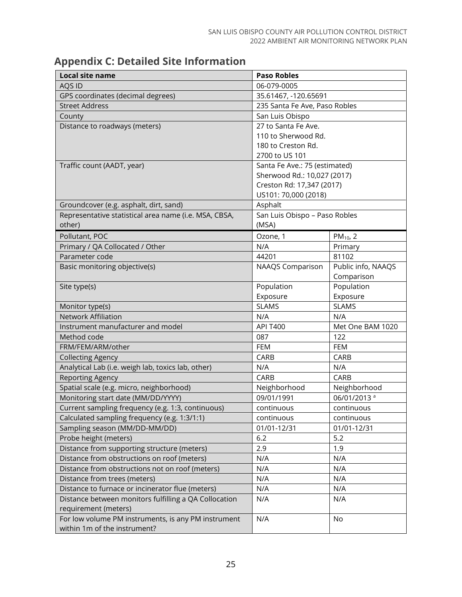# <span id="page-24-0"></span>**Appendix C: Detailed Site Information**

| <b>Local site name</b>                                | <b>Paso Robles</b>            |                         |  |  |
|-------------------------------------------------------|-------------------------------|-------------------------|--|--|
| AQS ID                                                | 06-079-0005                   |                         |  |  |
| GPS coordinates (decimal degrees)                     | 35.61467, -120.65691          |                         |  |  |
| <b>Street Address</b>                                 | 235 Santa Fe Ave, Paso Robles |                         |  |  |
| County                                                | San Luis Obispo               |                         |  |  |
| Distance to roadways (meters)                         | 27 to Santa Fe Ave.           |                         |  |  |
|                                                       | 110 to Sherwood Rd.           |                         |  |  |
|                                                       | 180 to Creston Rd.            |                         |  |  |
|                                                       | 2700 to US 101                |                         |  |  |
| Traffic count (AADT, year)                            | Santa Fe Ave.: 75 (estimated) |                         |  |  |
|                                                       | Sherwood Rd.: 10,027 (2017)   |                         |  |  |
|                                                       | Creston Rd: 17,347 (2017)     |                         |  |  |
|                                                       | US101: 70,000 (2018)          |                         |  |  |
| Groundcover (e.g. asphalt, dirt, sand)                | Asphalt                       |                         |  |  |
| Representative statistical area name (i.e. MSA, CBSA, | San Luis Obispo - Paso Robles |                         |  |  |
| other)                                                | (MSA)                         |                         |  |  |
| Pollutant, POC                                        | Ozone, 1                      | PM <sub>10</sub> , 2    |  |  |
| Primary / QA Collocated / Other                       | N/A                           | Primary                 |  |  |
| Parameter code                                        | 44201                         | 81102                   |  |  |
| Basic monitoring objective(s)                         | <b>NAAQS Comparison</b>       | Public info, NAAQS      |  |  |
|                                                       |                               | Comparison              |  |  |
| Site type(s)                                          | Population                    | Population              |  |  |
|                                                       | Exposure                      | Exposure                |  |  |
| Monitor type(s)                                       | <b>SLAMS</b>                  | <b>SLAMS</b>            |  |  |
| <b>Network Affiliation</b>                            | N/A                           | N/A                     |  |  |
| Instrument manufacturer and model                     | <b>API T400</b>               | Met One BAM 1020        |  |  |
| Method code                                           | 087                           | 122                     |  |  |
| FRM/FEM/ARM/other                                     | <b>FEM</b>                    | <b>FEM</b>              |  |  |
| <b>Collecting Agency</b>                              | CARB                          | CARB                    |  |  |
| Analytical Lab (i.e. weigh lab, toxics lab, other)    | N/A                           | N/A                     |  |  |
| <b>Reporting Agency</b>                               | CARB                          | CARB                    |  |  |
| Spatial scale (e.g. micro, neighborhood)              | Neighborhood                  | Neighborhood            |  |  |
| Monitoring start date (MM/DD/YYYY)                    | 09/01/1991                    | 06/01/2013 <sup>a</sup> |  |  |
| Current sampling frequency (e.g. 1:3, continuous)     | continuous                    | continuous              |  |  |
| Calculated sampling frequency (e.g. 1:3/1:1)          | continuous                    | continuous              |  |  |
| Sampling season (MM/DD-MM/DD)                         | 01/01-12/31                   | 01/01-12/31             |  |  |
| Probe height (meters)                                 | 6.2                           | 5.2                     |  |  |
| Distance from supporting structure (meters)           | 2.9                           | 1.9                     |  |  |
| Distance from obstructions on roof (meters)           | N/A                           | N/A                     |  |  |
| Distance from obstructions not on roof (meters)       | N/A                           | N/A                     |  |  |
| Distance from trees (meters)                          | N/A                           | N/A                     |  |  |
| Distance to furnace or incinerator flue (meters)      | N/A                           | N/A                     |  |  |
| Distance between monitors fulfilling a QA Collocation | N/A                           | N/A                     |  |  |
| requirement (meters)                                  |                               |                         |  |  |
| For low volume PM instruments, is any PM instrument   | N/A                           | No                      |  |  |
| within 1m of the instrument?                          |                               |                         |  |  |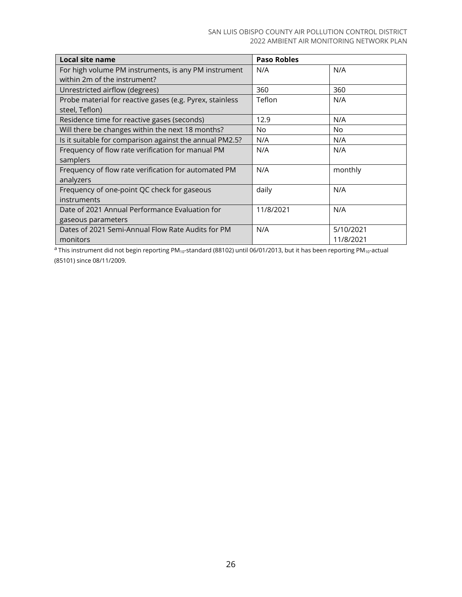| <b>Local site name</b>                                   | <b>Paso Robles</b> |                |
|----------------------------------------------------------|--------------------|----------------|
| For high volume PM instruments, is any PM instrument     | N/A                | N/A            |
| within 2m of the instrument?                             |                    |                |
| Unrestricted airflow (degrees)                           | 360                | 360            |
| Probe material for reactive gases (e.g. Pyrex, stainless | Teflon             | N/A            |
| steel, Teflon)                                           |                    |                |
| Residence time for reactive gases (seconds)              | 12.9               | N/A            |
| Will there be changes within the next 18 months?         | N <sub>o</sub>     | N <sub>o</sub> |
| Is it suitable for comparison against the annual PM2.5?  | N/A                | N/A            |
| Frequency of flow rate verification for manual PM        | N/A                | N/A            |
| samplers                                                 |                    |                |
| Frequency of flow rate verification for automated PM     | N/A                | monthly        |
| analyzers                                                |                    |                |
| Frequency of one-point QC check for gaseous              | daily              | N/A            |
| instruments                                              |                    |                |
| Date of 2021 Annual Performance Evaluation for           | 11/8/2021          | N/A            |
| gaseous parameters                                       |                    |                |
| Dates of 2021 Semi-Annual Flow Rate Audits for PM        | N/A                | 5/10/2021      |
| monitors                                                 |                    | 11/8/2021      |

<sup>a</sup> This instrument did not begin reporting PM<sub>10</sub>-standard (88102) until 06/01/2013, but it has been reporting PM<sub>10</sub>-actual (85101) since 08/11/2009.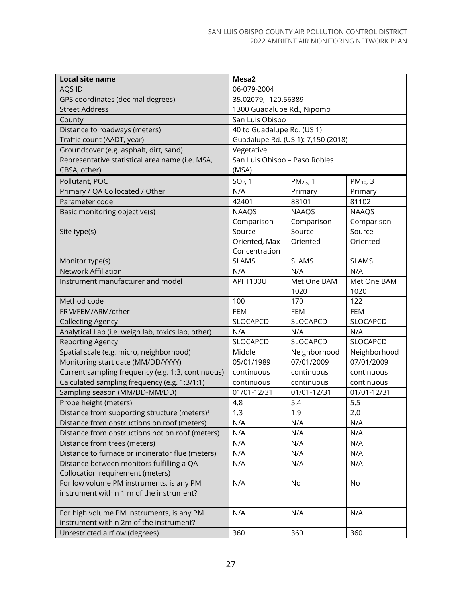| <b>Local site name</b>                                   | Mesa2                         |                                    |                      |  |
|----------------------------------------------------------|-------------------------------|------------------------------------|----------------------|--|
| AQS ID                                                   | 06-079-2004                   |                                    |                      |  |
| GPS coordinates (decimal degrees)                        | 35.02079, -120.56389          |                                    |                      |  |
| <b>Street Address</b>                                    | 1300 Guadalupe Rd., Nipomo    |                                    |                      |  |
| County                                                   | San Luis Obispo               |                                    |                      |  |
| Distance to roadways (meters)                            | 40 to Guadalupe Rd. (US 1)    |                                    |                      |  |
| Traffic count (AADT, year)                               |                               | Guadalupe Rd. (US 1): 7,150 (2018) |                      |  |
| Groundcover (e.g. asphalt, dirt, sand)                   | Vegetative                    |                                    |                      |  |
| Representative statistical area name (i.e. MSA,          | San Luis Obispo - Paso Robles |                                    |                      |  |
| CBSA, other)                                             | (MSA)                         |                                    |                      |  |
| Pollutant, POC                                           | $SO2$ , 1                     | PM <sub>2.5</sub> , 1              | PM <sub>10</sub> , 3 |  |
| Primary / QA Collocated / Other                          | N/A                           | Primary                            | Primary              |  |
| Parameter code                                           | 42401                         | 88101                              | 81102                |  |
| Basic monitoring objective(s)                            | <b>NAAQS</b>                  | <b>NAAQS</b>                       | <b>NAAQS</b>         |  |
|                                                          | Comparison                    | Comparison                         | Comparison           |  |
| Site type(s)                                             | Source                        | Source                             | Source               |  |
|                                                          | Oriented, Max                 | Oriented                           | Oriented             |  |
|                                                          | Concentration                 |                                    |                      |  |
| Monitor type(s)                                          | <b>SLAMS</b>                  | <b>SLAMS</b>                       | <b>SLAMS</b>         |  |
| <b>Network Affiliation</b>                               | N/A                           | N/A                                | N/A                  |  |
| Instrument manufacturer and model                        | <b>API T100U</b>              | Met One BAM                        | Met One BAM          |  |
|                                                          |                               | 1020                               | 1020                 |  |
| Method code                                              | 100                           | 170                                | 122                  |  |
| FRM/FEM/ARM/other                                        | <b>FEM</b>                    | <b>FEM</b>                         | <b>FEM</b>           |  |
| <b>Collecting Agency</b>                                 | SLOCAPCD                      | SLOCAPCD                           | SLOCAPCD             |  |
| Analytical Lab (i.e. weigh lab, toxics lab, other)       | N/A                           | N/A                                | N/A                  |  |
| <b>Reporting Agency</b>                                  | SLOCAPCD                      | SLOCAPCD                           | SLOCAPCD             |  |
| Spatial scale (e.g. micro, neighborhood)                 | Middle                        | Neighborhood                       | Neighborhood         |  |
| Monitoring start date (MM/DD/YYYY)                       | 05/01/1989                    | 07/01/2009                         | 07/01/2009           |  |
| Current sampling frequency (e.g. 1:3, continuous)        | continuous                    | continuous                         | continuous           |  |
| Calculated sampling frequency (e.g. 1:3/1:1)             | continuous                    | continuous                         | continuous           |  |
| Sampling season (MM/DD-MM/DD)                            | 01/01-12/31                   | 01/01-12/31                        | 01/01-12/31          |  |
| Probe height (meters)                                    | 4.8                           | 5.4                                | 5.5                  |  |
| Distance from supporting structure (meters) <sup>a</sup> | 1.3                           | 1.9                                | 2.0                  |  |
| Distance from obstructions on roof (meters)              | N/A                           | N/A                                | N/A                  |  |
| Distance from obstructions not on roof (meters)          | N/A                           | N/A                                | N/A                  |  |
| Distance from trees (meters)                             | N/A                           | N/A                                | N/A                  |  |
| Distance to furnace or incinerator flue (meters)         | N/A                           | N/A                                | N/A                  |  |
| Distance between monitors fulfilling a QA                | N/A                           | N/A                                | N/A                  |  |
| Collocation requirement (meters)                         |                               |                                    |                      |  |
| For low volume PM instruments, is any PM                 | N/A                           | No                                 | No                   |  |
| instrument within 1 m of the instrument?                 |                               |                                    |                      |  |
|                                                          |                               |                                    |                      |  |
| For high volume PM instruments, is any PM                | N/A                           | N/A                                | N/A                  |  |
| instrument within 2m of the instrument?                  |                               |                                    |                      |  |
| Unrestricted airflow (degrees)                           | 360                           | 360                                | 360                  |  |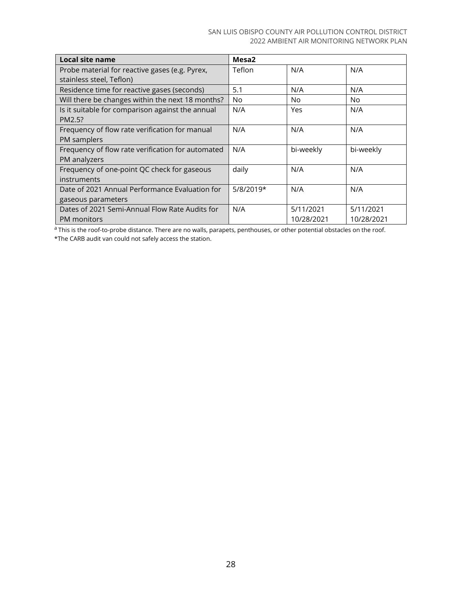| <b>Local site name</b>                            | Mesa <sub>2</sub> |            |            |
|---------------------------------------------------|-------------------|------------|------------|
| Probe material for reactive gases (e.g. Pyrex,    | Teflon            | N/A        | N/A        |
| stainless steel, Teflon)                          |                   |            |            |
| Residence time for reactive gases (seconds)       | 5.1               | N/A        | N/A        |
| Will there be changes within the next 18 months?  | No                | No.        | <b>No</b>  |
| Is it suitable for comparison against the annual  | N/A               | Yes        | N/A        |
| PM2.5?                                            |                   |            |            |
| Frequency of flow rate verification for manual    | N/A               | N/A        | N/A        |
| PM samplers                                       |                   |            |            |
| Frequency of flow rate verification for automated | N/A               | bi-weekly  | bi-weekly  |
| PM analyzers                                      |                   |            |            |
| Frequency of one-point QC check for gaseous       | daily             | N/A        | N/A        |
| instruments                                       |                   |            |            |
| Date of 2021 Annual Performance Evaluation for    | 5/8/2019*         | N/A        | N/A        |
| gaseous parameters                                |                   |            |            |
| Dates of 2021 Semi-Annual Flow Rate Audits for    | N/A               | 5/11/2021  | 5/11/2021  |
| <b>PM</b> monitors                                |                   | 10/28/2021 | 10/28/2021 |

aThis is the roof-to-probe distance. There are no walls, parapets, penthouses, or other potential obstacles on the roof.

\*The CARB audit van could not safely access the station.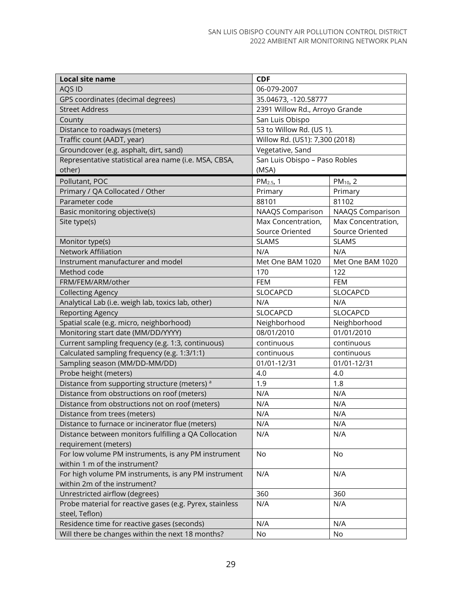| Local site name                                          | <b>CDF</b>                     |                      |
|----------------------------------------------------------|--------------------------------|----------------------|
| AQS ID                                                   | 06-079-2007                    |                      |
| GPS coordinates (decimal degrees)                        | 35.04673, -120.58777           |                      |
| <b>Street Address</b>                                    | 2391 Willow Rd., Arroyo Grande |                      |
| County                                                   | San Luis Obispo                |                      |
| Distance to roadways (meters)                            | 53 to Willow Rd. (US 1).       |                      |
| Traffic count (AADT, year)                               | Willow Rd. (US1): 7,300 (2018) |                      |
| Groundcover (e.g. asphalt, dirt, sand)                   | Vegetative, Sand               |                      |
| Representative statistical area name (i.e. MSA, CBSA,    | San Luis Obispo - Paso Robles  |                      |
| other)                                                   | (MSA)                          |                      |
| Pollutant, POC                                           | PM <sub>2.5</sub> , 1          | PM <sub>10</sub> , 2 |
| Primary / QA Collocated / Other                          | Primary                        | Primary              |
| Parameter code                                           | 88101                          | 81102                |
| Basic monitoring objective(s)                            | <b>NAAQS Comparison</b>        | NAAQS Comparison     |
| Site type(s)                                             | Max Concentration,             | Max Concentration,   |
|                                                          | Source Oriented                | Source Oriented      |
| Monitor type(s)                                          | <b>SLAMS</b>                   | <b>SLAMS</b>         |
| <b>Network Affiliation</b>                               | N/A                            | N/A                  |
| Instrument manufacturer and model                        | Met One BAM 1020               | Met One BAM 1020     |
| Method code                                              | 170                            | 122                  |
| FRM/FEM/ARM/other                                        | <b>FEM</b>                     | <b>FEM</b>           |
| <b>Collecting Agency</b>                                 | <b>SLOCAPCD</b>                | SLOCAPCD             |
| Analytical Lab (i.e. weigh lab, toxics lab, other)       | N/A                            | N/A                  |
| <b>Reporting Agency</b>                                  | SLOCAPCD                       | SLOCAPCD             |
| Spatial scale (e.g. micro, neighborhood)                 | Neighborhood                   | Neighborhood         |
| Monitoring start date (MM/DD/YYYY)                       | 08/01/2010                     | 01/01/2010           |
| Current sampling frequency (e.g. 1:3, continuous)        | continuous                     | continuous           |
| Calculated sampling frequency (e.g. 1:3/1:1)             | continuous                     | continuous           |
| Sampling season (MM/DD-MM/DD)                            | 01/01-12/31                    | 01/01-12/31          |
| Probe height (meters)                                    | 4.0                            | 4.0                  |
| Distance from supporting structure (meters) <sup>a</sup> | 1.9                            | 1.8                  |
| Distance from obstructions on roof (meters)              | N/A                            | N/A                  |
| Distance from obstructions not on roof (meters)          | N/A                            | N/A                  |
| Distance from trees (meters)                             | N/A                            | N/A                  |
| Distance to furnace or incinerator flue (meters)         | N/A                            | N/A                  |
| Distance between monitors fulfilling a QA Collocation    | N/A                            | N/A                  |
| requirement (meters)                                     |                                |                      |
| For low volume PM instruments, is any PM instrument      | No                             | No                   |
| within 1 m of the instrument?                            |                                |                      |
| For high volume PM instruments, is any PM instrument     | N/A                            | N/A                  |
| within 2m of the instrument?                             |                                |                      |
| Unrestricted airflow (degrees)                           | 360                            | 360                  |
| Probe material for reactive gases (e.g. Pyrex, stainless | N/A                            | N/A                  |
| steel, Teflon)                                           |                                |                      |
| Residence time for reactive gases (seconds)              | N/A                            | N/A                  |
| Will there be changes within the next 18 months?         | No                             | No                   |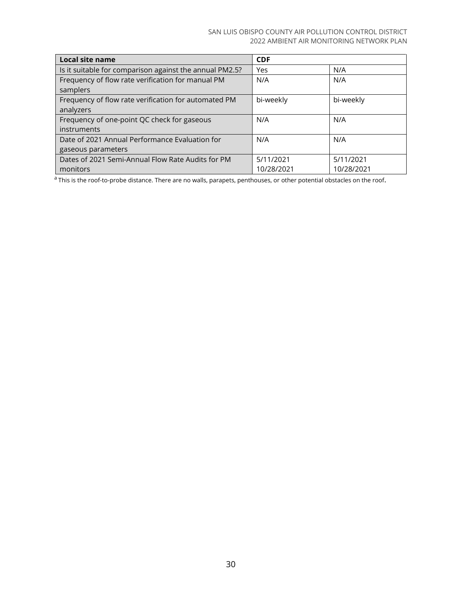| Local site name                                         | <b>CDF</b> |            |
|---------------------------------------------------------|------------|------------|
| Is it suitable for comparison against the annual PM2.5? | Yes        | N/A        |
| Frequency of flow rate verification for manual PM       | N/A        | N/A        |
| samplers                                                |            |            |
| Frequency of flow rate verification for automated PM    | bi-weekly  | bi-weekly  |
| analyzers                                               |            |            |
| Frequency of one-point QC check for gaseous             | N/A        | N/A        |
| instruments                                             |            |            |
| Date of 2021 Annual Performance Evaluation for          | N/A        | N/A        |
| gaseous parameters                                      |            |            |
| Dates of 2021 Semi-Annual Flow Rate Audits for PM       | 5/11/2021  | 5/11/2021  |
| monitors                                                | 10/28/2021 | 10/28/2021 |

a This is the roof-to-probe distance. There are no walls, parapets, penthouses, or other potential obstacles on the roof.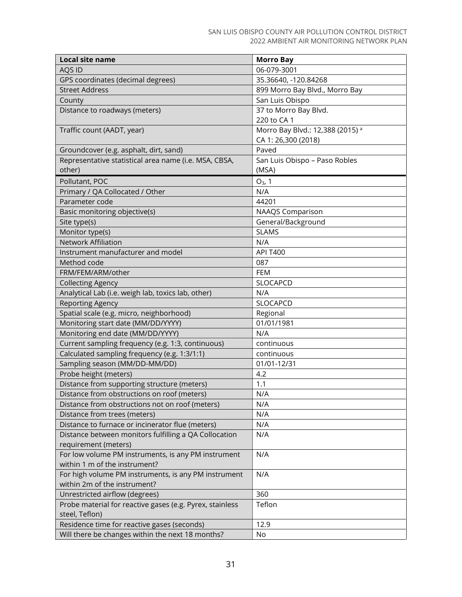| <b>Local site name</b>                                   | <b>Morro Bay</b>                            |
|----------------------------------------------------------|---------------------------------------------|
| AQS ID                                                   | 06-079-3001                                 |
| GPS coordinates (decimal degrees)                        | 35.36640, -120.84268                        |
| <b>Street Address</b>                                    | 899 Morro Bay Blvd., Morro Bay              |
| County                                                   | San Luis Obispo                             |
| Distance to roadways (meters)                            | 37 to Morro Bay Blvd.                       |
|                                                          | 220 to CA 1                                 |
| Traffic count (AADT, year)                               | Morro Bay Blvd.: 12,388 (2015) <sup>a</sup> |
|                                                          | CA 1: 26,300 (2018)                         |
| Groundcover (e.g. asphalt, dirt, sand)                   | Paved                                       |
| Representative statistical area name (i.e. MSA, CBSA,    | San Luis Obispo - Paso Robles               |
| other)                                                   | (MSA)                                       |
| Pollutant, POC                                           | $O_3$ , 1                                   |
| Primary / QA Collocated / Other                          | N/A                                         |
| Parameter code                                           | 44201                                       |
| Basic monitoring objective(s)                            | <b>NAAQS Comparison</b>                     |
| Site type(s)                                             | General/Background                          |
| Monitor type(s)                                          | <b>SLAMS</b>                                |
| <b>Network Affiliation</b>                               | N/A                                         |
| Instrument manufacturer and model                        | <b>API T400</b>                             |
| Method code                                              | 087                                         |
| FRM/FEM/ARM/other                                        | <b>FEM</b>                                  |
| <b>Collecting Agency</b>                                 | SLOCAPCD                                    |
| Analytical Lab (i.e. weigh lab, toxics lab, other)       | N/A                                         |
| <b>Reporting Agency</b>                                  | SLOCAPCD                                    |
| Spatial scale (e.g. micro, neighborhood)                 | Regional                                    |
| Monitoring start date (MM/DD/YYYY)                       | 01/01/1981                                  |
| Monitoring end date (MM/DD/YYYY)                         | N/A                                         |
| Current sampling frequency (e.g. 1:3, continuous)        | continuous                                  |
| Calculated sampling frequency (e.g. 1:3/1:1)             | continuous                                  |
| Sampling season (MM/DD-MM/DD)                            | 01/01-12/31                                 |
| Probe height (meters)                                    | 4.2                                         |
| Distance from supporting structure (meters)              | 1.1                                         |
| Distance from obstructions on roof (meters)              | N/A                                         |
| Distance from obstructions not on roof (meters)          | N/A                                         |
| Distance from trees (meters)                             | N/A                                         |
| Distance to furnace or incinerator flue (meters)         | N/A                                         |
| Distance between monitors fulfilling a QA Collocation    | N/A                                         |
| requirement (meters)                                     |                                             |
| For low volume PM instruments, is any PM instrument      | N/A                                         |
| within 1 m of the instrument?                            |                                             |
| For high volume PM instruments, is any PM instrument     | N/A                                         |
| within 2m of the instrument?                             |                                             |
| Unrestricted airflow (degrees)                           | 360                                         |
| Probe material for reactive gases (e.g. Pyrex, stainless | Teflon                                      |
| steel, Teflon)                                           |                                             |
| Residence time for reactive gases (seconds)              | 12.9                                        |
| Will there be changes within the next 18 months?         | No                                          |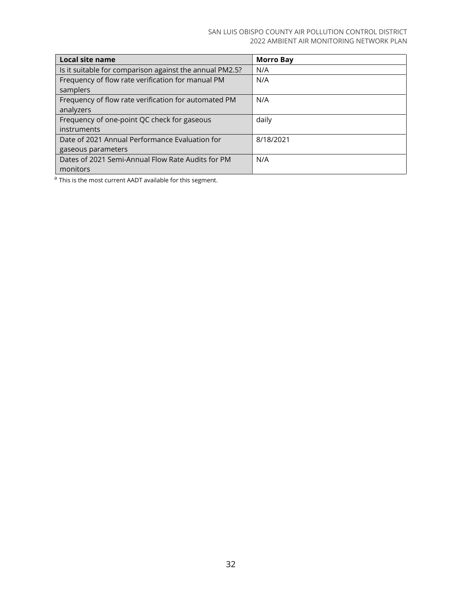| Local site name                                         | <b>Morro Bay</b> |
|---------------------------------------------------------|------------------|
| Is it suitable for comparison against the annual PM2.5? | N/A              |
| Frequency of flow rate verification for manual PM       | N/A              |
| samplers                                                |                  |
| Frequency of flow rate verification for automated PM    | N/A              |
| analyzers                                               |                  |
| Frequency of one-point QC check for gaseous             | daily            |
| instruments                                             |                  |
| Date of 2021 Annual Performance Evaluation for          | 8/18/2021        |
| gaseous parameters                                      |                  |
| Dates of 2021 Semi-Annual Flow Rate Audits for PM       | N/A              |
| monitors                                                |                  |

<sup>a</sup> This is the most current AADT available for this segment.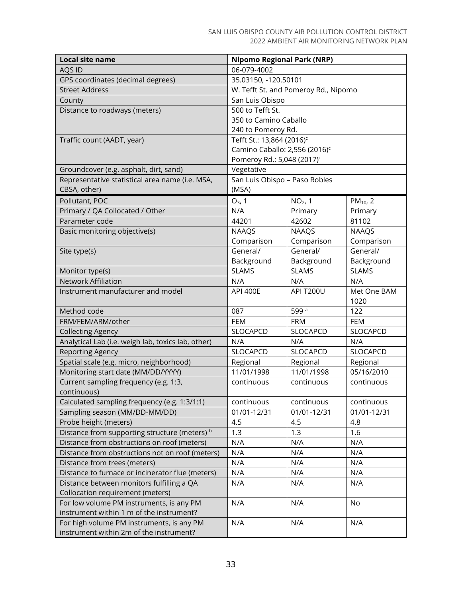| <b>Local site name</b>                             | <b>Nipomo Regional Park (NRP)</b>         |                  |               |
|----------------------------------------------------|-------------------------------------------|------------------|---------------|
| AQS ID                                             | 06-079-4002                               |                  |               |
| GPS coordinates (decimal degrees)                  | 35.03150, -120.50101                      |                  |               |
| <b>Street Address</b>                              | W. Tefft St. and Pomeroy Rd., Nipomo      |                  |               |
| County                                             | San Luis Obispo                           |                  |               |
| Distance to roadways (meters)                      | 500 to Tefft St.                          |                  |               |
|                                                    | 350 to Camino Caballo                     |                  |               |
|                                                    | 240 to Pomeroy Rd.                        |                  |               |
| Traffic count (AADT, year)                         | Tefft St.: 13,864 (2016) <sup>c</sup>     |                  |               |
|                                                    | Camino Caballo: 2,556 (2016) <sup>c</sup> |                  |               |
|                                                    | Pomeroy Rd.: 5,048 (2017) <sup>c</sup>    |                  |               |
| Groundcover (e.g. asphalt, dirt, sand)             | Vegetative                                |                  |               |
| Representative statistical area name (i.e. MSA,    | San Luis Obispo - Paso Robles             |                  |               |
| CBSA, other)                                       | (MSA)                                     |                  |               |
| Pollutant, POC                                     | $O_3$ , 1                                 | $NO2$ , 1        | $PM_{10}$ , 2 |
| Primary / QA Collocated / Other                    | N/A                                       | Primary          | Primary       |
| Parameter code                                     | 44201                                     | 42602            | 81102         |
| Basic monitoring objective(s)                      | <b>NAAQS</b>                              | <b>NAAQS</b>     | <b>NAAQS</b>  |
|                                                    | Comparison                                | Comparison       | Comparison    |
| Site type(s)                                       | General/                                  | General/         | General/      |
|                                                    | Background                                | Background       | Background    |
| Monitor type(s)                                    | <b>SLAMS</b>                              | <b>SLAMS</b>     | <b>SLAMS</b>  |
| <b>Network Affiliation</b>                         | N/A                                       | N/A              | N/A           |
| Instrument manufacturer and model                  | <b>API 400E</b>                           | <b>API T200U</b> | Met One BAM   |
|                                                    |                                           |                  | 1020          |
| Method code                                        | 087                                       | 599 <sup>a</sup> | 122           |
| FRM/FEM/ARM/other                                  | <b>FEM</b>                                | <b>FRM</b>       | FEM           |
| <b>Collecting Agency</b>                           | SLOCAPCD                                  | SLOCAPCD         | SLOCAPCD      |
| Analytical Lab (i.e. weigh lab, toxics lab, other) | N/A                                       | N/A              | N/A           |
| <b>Reporting Agency</b>                            | SLOCAPCD                                  | SLOCAPCD         | SLOCAPCD      |
| Spatial scale (e.g. micro, neighborhood)           | Regional                                  | Regional         | Regional      |
| Monitoring start date (MM/DD/YYYY)                 | 11/01/1998                                | 11/01/1998       | 05/16/2010    |
| Current sampling frequency (e.g. 1:3,              | continuous                                | continuous       | continuous    |
| continuous)                                        |                                           |                  |               |
| Calculated sampling frequency (e.g. 1:3/1:1)       | continuous                                | continuous       | continuous    |
| Sampling season (MM/DD-MM/DD)                      | 01/01-12/31                               | 01/01-12/31      | 01/01-12/31   |
| Probe height (meters)                              | 4.5                                       | 4.5              | 4.8           |
| Distance from supporting structure (meters) b      | 1.3                                       | 1.3              | 1.6           |
| Distance from obstructions on roof (meters)        | N/A                                       | N/A              | N/A           |
| Distance from obstructions not on roof (meters)    | N/A                                       | N/A              | N/A           |
| Distance from trees (meters)                       | N/A                                       | N/A              | N/A           |
| Distance to furnace or incinerator flue (meters)   | N/A                                       | N/A              | N/A           |
| Distance between monitors fulfilling a QA          | N/A                                       | N/A              | N/A           |
| Collocation requirement (meters)                   |                                           |                  |               |
| For low volume PM instruments, is any PM           | N/A                                       | N/A              | No            |
| instrument within 1 m of the instrument?           |                                           |                  |               |
| For high volume PM instruments, is any PM          | N/A                                       | N/A              | N/A           |
| instrument within 2m of the instrument?            |                                           |                  |               |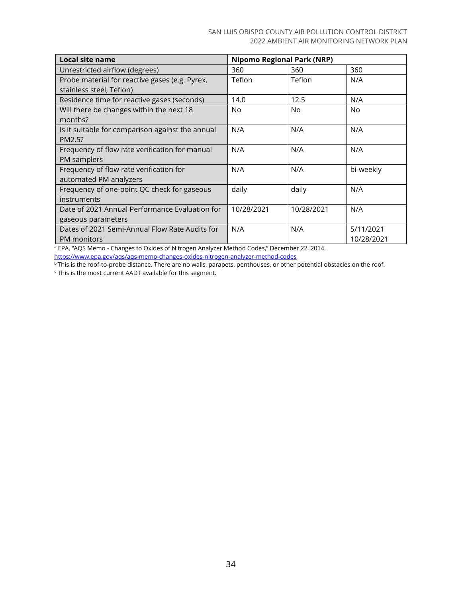| <b>Local site name</b>                           |            | <b>Nipomo Regional Park (NRP)</b> |            |
|--------------------------------------------------|------------|-----------------------------------|------------|
| Unrestricted airflow (degrees)                   | 360        | 360                               | 360        |
| Probe material for reactive gases (e.g. Pyrex,   | Teflon     | Teflon                            | N/A        |
| stainless steel, Teflon)                         |            |                                   |            |
| Residence time for reactive gases (seconds)      | 14.0       | 12.5                              | N/A        |
| Will there be changes within the next 18         | <b>No</b>  | No                                | <b>No</b>  |
| months?                                          |            |                                   |            |
| Is it suitable for comparison against the annual | N/A        | N/A                               | N/A        |
| PM2.5?                                           |            |                                   |            |
| Frequency of flow rate verification for manual   | N/A        | N/A                               | N/A        |
| PM samplers                                      |            |                                   |            |
| Frequency of flow rate verification for          | N/A        | N/A                               | bi-weekly  |
| automated PM analyzers                           |            |                                   |            |
| Frequency of one-point QC check for gaseous      | daily      | daily                             | N/A        |
| instruments                                      |            |                                   |            |
| Date of 2021 Annual Performance Evaluation for   | 10/28/2021 | 10/28/2021                        | N/A        |
| gaseous parameters                               |            |                                   |            |
| Dates of 2021 Semi-Annual Flow Rate Audits for   | N/A        | N/A                               | 5/11/2021  |
| <b>PM</b> monitors                               |            |                                   | 10/28/2021 |

<sup>a</sup> EPA, "AQS Memo - Changes to Oxides of Nitrogen Analyzer Method Codes," December 22, 2014.

<https://www.epa.gov/aqs/aqs-memo-changes-oxides-nitrogen-analyzer-method-codes>

**b This is the roof-to-probe distance.** There are no walls, parapets, penthouses, or other potential obstacles on the roof.

<sup>c</sup> This is the most current AADT available for this segment.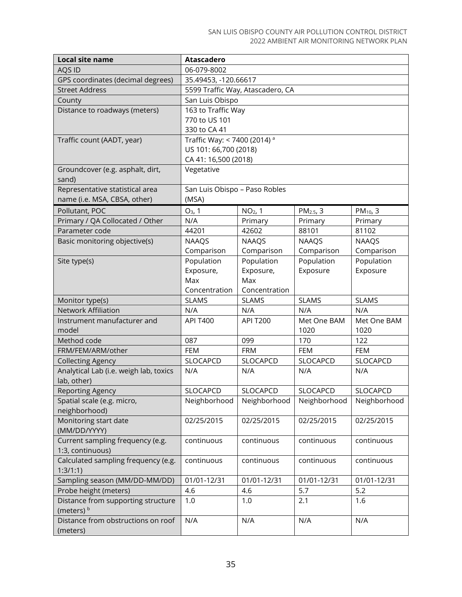| Local site name                        | <b>Atascadero</b>                       |                     |                       |                      |
|----------------------------------------|-----------------------------------------|---------------------|-----------------------|----------------------|
| AQS ID                                 | 06-079-8002                             |                     |                       |                      |
| GPS coordinates (decimal degrees)      | 35.49453, -120.66617                    |                     |                       |                      |
| <b>Street Address</b>                  | 5599 Traffic Way, Atascadero, CA        |                     |                       |                      |
| County                                 | San Luis Obispo                         |                     |                       |                      |
| Distance to roadways (meters)          | 163 to Traffic Way                      |                     |                       |                      |
|                                        | 770 to US 101                           |                     |                       |                      |
|                                        | 330 to CA 41                            |                     |                       |                      |
| Traffic count (AADT, year)             | Traffic Way: < 7400 (2014) <sup>a</sup> |                     |                       |                      |
|                                        | US 101: 66,700 (2018)                   |                     |                       |                      |
|                                        | CA 41: 16,500 (2018)                    |                     |                       |                      |
| Groundcover (e.g. asphalt, dirt,       | Vegetative                              |                     |                       |                      |
| sand)                                  |                                         |                     |                       |                      |
| Representative statistical area        | San Luis Obispo - Paso Robles           |                     |                       |                      |
| name (i.e. MSA, CBSA, other)           | (MSA)                                   |                     |                       |                      |
| Pollutant, POC                         | $O_3$ , 1                               | NO <sub>2</sub> , 1 | PM <sub>2.5</sub> , 3 | PM <sub>10</sub> , 3 |
| Primary / QA Collocated / Other        | N/A                                     | Primary             | Primary               | Primary              |
| Parameter code                         | 44201                                   | 42602               | 88101                 | 81102                |
| Basic monitoring objective(s)          | <b>NAAQS</b>                            | <b>NAAQS</b>        | <b>NAAQS</b>          | <b>NAAQS</b>         |
|                                        | Comparison                              | Comparison          | Comparison            | Comparison           |
| Site type(s)                           | Population                              | Population          | Population            | Population           |
|                                        | Exposure,                               | Exposure,           | Exposure              | Exposure             |
|                                        | Max                                     | Max                 |                       |                      |
|                                        | Concentration                           | Concentration       |                       |                      |
| Monitor type(s)                        | <b>SLAMS</b>                            | <b>SLAMS</b>        | <b>SLAMS</b>          | <b>SLAMS</b>         |
| <b>Network Affiliation</b>             | N/A                                     | N/A                 | N/A                   | N/A                  |
| Instrument manufacturer and            | <b>API T400</b>                         | <b>API T200</b>     | Met One BAM           | Met One BAM          |
| model                                  |                                         |                     | 1020                  | 1020                 |
| Method code                            | 087                                     | 099                 | 170                   | 122                  |
| FRM/FEM/ARM/other                      | <b>FEM</b>                              | <b>FRM</b>          | FEM                   | FEM                  |
| <b>Collecting Agency</b>               | SLOCAPCD                                | SLOCAPCD            | SLOCAPCD              | SLOCAPCD             |
| Analytical Lab (i.e. weigh lab, toxics | N/A                                     | N/A                 | N/A                   | N/A                  |
| lab, other)                            |                                         |                     |                       |                      |
| <b>Reporting Agency</b>                | <b>SLOCAPCD</b>                         | SLOCAPCD            | <b>SLOCAPCD</b>       | <b>SLOCAPCD</b>      |
| Spatial scale (e.g. micro,             | Neighborhood                            | Neighborhood        | Neighborhood          | Neighborhood         |
| neighborhood)                          |                                         |                     |                       |                      |
| Monitoring start date                  | 02/25/2015                              | 02/25/2015          | 02/25/2015            | 02/25/2015           |
| (MM/DD/YYYY)                           |                                         |                     |                       |                      |
| Current sampling frequency (e.g.       | continuous                              | continuous          | continuous            | continuous           |
| 1:3, continuous)                       |                                         |                     |                       |                      |
| Calculated sampling frequency (e.g.    | continuous                              | continuous          | continuous            | continuous           |
| 1:3/1:1)                               |                                         |                     |                       |                      |
| Sampling season (MM/DD-MM/DD)          | 01/01-12/31                             | 01/01-12/31         | 01/01-12/31           | 01/01-12/31          |
| Probe height (meters)                  | 4.6                                     | 4.6                 | 5.7                   | 5.2                  |
| Distance from supporting structure     | 1.0                                     | 1.0                 | 2.1                   | 1.6                  |
| (meters) b                             |                                         |                     |                       |                      |
| Distance from obstructions on roof     | N/A                                     | N/A                 | N/A                   | N/A                  |
| (meters)                               |                                         |                     |                       |                      |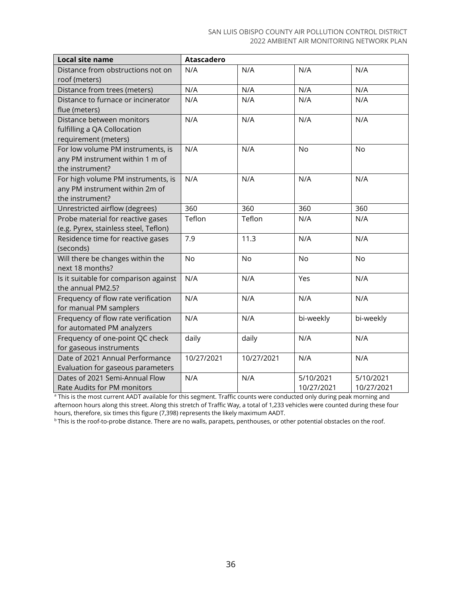| <b>Local site name</b>                                                                  | <b>Atascadero</b> |            |                         |                         |
|-----------------------------------------------------------------------------------------|-------------------|------------|-------------------------|-------------------------|
| Distance from obstructions not on<br>roof (meters)                                      | N/A               | N/A        | N/A                     | N/A                     |
| Distance from trees (meters)                                                            | N/A               | N/A        | N/A                     | N/A                     |
| Distance to furnace or incinerator<br>flue (meters)                                     | N/A               | N/A        | N/A                     | N/A                     |
| Distance between monitors<br>fulfilling a QA Collocation<br>requirement (meters)        | N/A               | N/A        | N/A                     | N/A                     |
| For low volume PM instruments, is<br>any PM instrument within 1 m of<br>the instrument? | N/A               | N/A        | <b>No</b>               | No                      |
| For high volume PM instruments, is<br>any PM instrument within 2m of<br>the instrument? | N/A               | N/A        | N/A                     | N/A                     |
| Unrestricted airflow (degrees)                                                          | 360               | 360        | 360                     | 360                     |
| Probe material for reactive gases<br>(e.g. Pyrex, stainless steel, Teflon)              | Teflon            | Teflon     | N/A                     | N/A                     |
| Residence time for reactive gases<br>(seconds)                                          | 7.9               | 11.3       | N/A                     | N/A                     |
| Will there be changes within the<br>next 18 months?                                     | <b>No</b>         | No         | No                      | No                      |
| Is it suitable for comparison against<br>the annual PM2.5?                              | N/A               | N/A        | Yes                     | N/A                     |
| Frequency of flow rate verification<br>for manual PM samplers                           | N/A               | N/A        | N/A                     | N/A                     |
| Frequency of flow rate verification<br>for automated PM analyzers                       | N/A               | N/A        | bi-weekly               | bi-weekly               |
| Frequency of one-point QC check<br>for gaseous instruments                              | daily             | daily      | N/A                     | N/A                     |
| Date of 2021 Annual Performance<br>Evaluation for gaseous parameters                    | 10/27/2021        | 10/27/2021 | N/A                     | N/A                     |
| Dates of 2021 Semi-Annual Flow<br>Rate Audits for PM monitors                           | N/A               | N/A        | 5/10/2021<br>10/27/2021 | 5/10/2021<br>10/27/2021 |

a This is the most current AADT available for this segment. Traffic counts were conducted only during peak morning and afternoon hours along this street. Along this stretch of Traffic Way, a total of 1,233 vehicles were counted during these four hours, therefore, six times this figure (7,398) represents the likely maximum AADT.

<sup>b</sup> This is the roof-to-probe distance. There are no walls, parapets, penthouses, or other potential obstacles on the roof.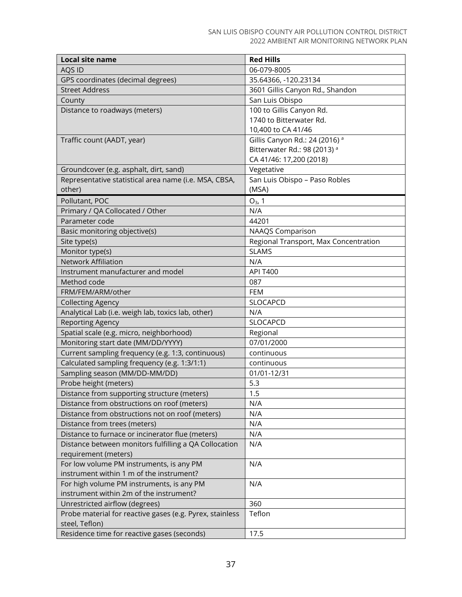| <b>Local site name</b>                                                     | <b>Red Hills</b>                          |
|----------------------------------------------------------------------------|-------------------------------------------|
| AQS ID                                                                     | 06-079-8005                               |
| GPS coordinates (decimal degrees)                                          | 35.64366, -120.23134                      |
| <b>Street Address</b>                                                      | 3601 Gillis Canyon Rd., Shandon           |
| County                                                                     | San Luis Obispo                           |
| Distance to roadways (meters)                                              | 100 to Gillis Canyon Rd.                  |
|                                                                            | 1740 to Bitterwater Rd.                   |
|                                                                            | 10,400 to CA 41/46                        |
| Traffic count (AADT, year)                                                 | Gillis Canyon Rd.: 24 (2016) <sup>a</sup> |
|                                                                            | Bitterwater Rd.: 98 (2013) <sup>a</sup>   |
|                                                                            | CA 41/46: 17,200 (2018)                   |
| Groundcover (e.g. asphalt, dirt, sand)                                     | Vegetative                                |
| Representative statistical area name (i.e. MSA, CBSA,                      | San Luis Obispo - Paso Robles             |
| other)                                                                     | (MSA)                                     |
| Pollutant, POC                                                             | $O_3$ , 1                                 |
| Primary / QA Collocated / Other                                            | N/A                                       |
| Parameter code                                                             | 44201                                     |
| Basic monitoring objective(s)                                              | <b>NAAQS Comparison</b>                   |
| Site type(s)                                                               | Regional Transport, Max Concentration     |
| Monitor type(s)                                                            | <b>SLAMS</b>                              |
| <b>Network Affiliation</b>                                                 | N/A                                       |
| Instrument manufacturer and model                                          | <b>API T400</b>                           |
| Method code                                                                | 087                                       |
| FRM/FEM/ARM/other                                                          | <b>FEM</b>                                |
| <b>Collecting Agency</b>                                                   | SLOCAPCD                                  |
| Analytical Lab (i.e. weigh lab, toxics lab, other)                         | N/A                                       |
| <b>Reporting Agency</b>                                                    | SLOCAPCD                                  |
| Spatial scale (e.g. micro, neighborhood)                                   | Regional                                  |
| Monitoring start date (MM/DD/YYYY)                                         | 07/01/2000                                |
| Current sampling frequency (e.g. 1:3, continuous)                          | continuous                                |
| Calculated sampling frequency (e.g. 1:3/1:1)                               | continuous                                |
| Sampling season (MM/DD-MM/DD)                                              | 01/01-12/31                               |
| Probe height (meters)                                                      | 5.3                                       |
| Distance from supporting structure (meters)                                | 1.5                                       |
| Distance from obstructions on roof (meters)                                | N/A                                       |
| Distance from obstructions not on roof (meters)                            | N/A                                       |
| Distance from trees (meters)                                               | N/A                                       |
| Distance to furnace or incinerator flue (meters)                           | N/A                                       |
| Distance between monitors fulfilling a QA Collocation                      | N/A                                       |
| requirement (meters)                                                       |                                           |
| For low volume PM instruments, is any PM                                   | N/A                                       |
| instrument within 1 m of the instrument?                                   |                                           |
| For high volume PM instruments, is any PM                                  | N/A                                       |
| instrument within 2m of the instrument?                                    |                                           |
| Unrestricted airflow (degrees)                                             | 360                                       |
| Probe material for reactive gases (e.g. Pyrex, stainless<br>steel, Teflon) | Teflon                                    |
|                                                                            |                                           |
| Residence time for reactive gases (seconds)                                | 17.5                                      |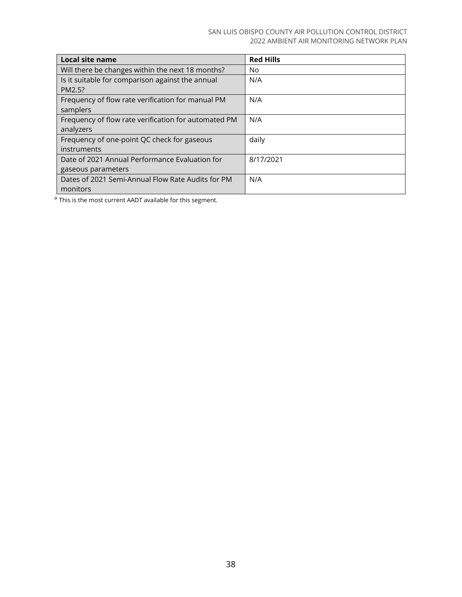| <b>Local site name</b>                               | <b>Red Hills</b> |
|------------------------------------------------------|------------------|
| Will there be changes within the next 18 months?     | No.              |
| Is it suitable for comparison against the annual     | N/A              |
| PM2.5?                                               |                  |
| Frequency of flow rate verification for manual PM    | N/A              |
| samplers                                             |                  |
| Frequency of flow rate verification for automated PM | N/A              |
| analyzers                                            |                  |
| Frequency of one-point QC check for gaseous          | daily            |
| instruments                                          |                  |
| Date of 2021 Annual Performance Evaluation for       | 8/17/2021        |
| gaseous parameters                                   |                  |
| Dates of 2021 Semi-Annual Flow Rate Audits for PM    | N/A              |
| monitors                                             |                  |

<sup>a</sup> This is the most current AADT available for this segment.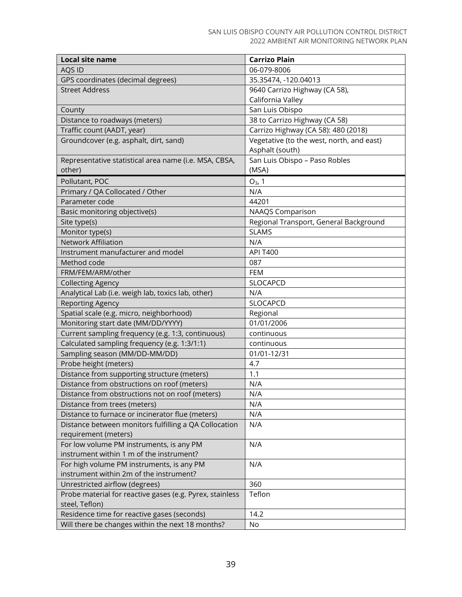| <b>Local site name</b>                                   | <b>Carrizo Plain</b>                      |
|----------------------------------------------------------|-------------------------------------------|
| AQS ID                                                   | 06-079-8006                               |
| GPS coordinates (decimal degrees)                        | 35.35474, -120.04013                      |
| <b>Street Address</b>                                    | 9640 Carrizo Highway (CA 58),             |
|                                                          | California Valley                         |
| County                                                   | San Luis Obispo                           |
| Distance to roadways (meters)                            | 38 to Carrizo Highway (CA 58)             |
| Traffic count (AADT, year)                               | Carrizo Highway (CA 58): 480 (2018)       |
| Groundcover (e.g. asphalt, dirt, sand)                   | Vegetative (to the west, north, and east) |
|                                                          | Asphalt (south)                           |
| Representative statistical area name (i.e. MSA, CBSA,    | San Luis Obispo - Paso Robles             |
| other)                                                   | (MSA)                                     |
| Pollutant, POC                                           | $O_3$ , 1                                 |
| Primary / QA Collocated / Other                          | N/A                                       |
| Parameter code                                           | 44201                                     |
| Basic monitoring objective(s)                            | <b>NAAQS Comparison</b>                   |
| Site type(s)                                             | Regional Transport, General Background    |
| Monitor type(s)                                          | <b>SLAMS</b>                              |
| <b>Network Affiliation</b>                               | N/A                                       |
| Instrument manufacturer and model                        | <b>API T400</b>                           |
| Method code                                              | 087                                       |
| FRM/FEM/ARM/other                                        | <b>FEM</b>                                |
| <b>Collecting Agency</b>                                 | SLOCAPCD                                  |
| Analytical Lab (i.e. weigh lab, toxics lab, other)       | N/A                                       |
| <b>Reporting Agency</b>                                  | SLOCAPCD                                  |
| Spatial scale (e.g. micro, neighborhood)                 | Regional                                  |
| Monitoring start date (MM/DD/YYYY)                       | 01/01/2006                                |
| Current sampling frequency (e.g. 1:3, continuous)        | continuous                                |
| Calculated sampling frequency (e.g. 1:3/1:1)             | continuous                                |
| Sampling season (MM/DD-MM/DD)                            | 01/01-12/31                               |
| Probe height (meters)                                    | 4.7                                       |
| Distance from supporting structure (meters)              | 1.1                                       |
| Distance from obstructions on roof (meters)              | N/A                                       |
| Distance from obstructions not on roof (meters)          | N/A                                       |
| Distance from trees (meters)                             | N/A                                       |
| Distance to furnace or incinerator flue (meters)         | N/A                                       |
| Distance between monitors fulfilling a QA Collocation    | N/A                                       |
| requirement (meters)                                     |                                           |
| For low volume PM instruments, is any PM                 | N/A                                       |
| instrument within 1 m of the instrument?                 |                                           |
| For high volume PM instruments, is any PM                | N/A                                       |
| instrument within 2m of the instrument?                  |                                           |
| Unrestricted airflow (degrees)                           | 360                                       |
| Probe material for reactive gases (e.g. Pyrex, stainless | Teflon                                    |
| steel, Teflon)                                           |                                           |
| Residence time for reactive gases (seconds)              | 14.2                                      |
| Will there be changes within the next 18 months?         | No                                        |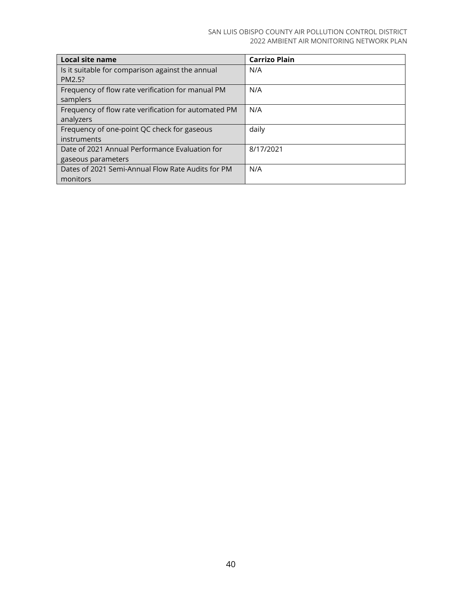| Local site name                                      | <b>Carrizo Plain</b> |
|------------------------------------------------------|----------------------|
| Is it suitable for comparison against the annual     | N/A                  |
| PM2.5?                                               |                      |
| Frequency of flow rate verification for manual PM    | N/A                  |
| samplers                                             |                      |
| Frequency of flow rate verification for automated PM | N/A                  |
| analyzers                                            |                      |
| Frequency of one-point QC check for gaseous          | daily                |
| instruments                                          |                      |
| Date of 2021 Annual Performance Evaluation for       | 8/17/2021            |
| gaseous parameters                                   |                      |
| Dates of 2021 Semi-Annual Flow Rate Audits for PM    | N/A                  |
| monitors                                             |                      |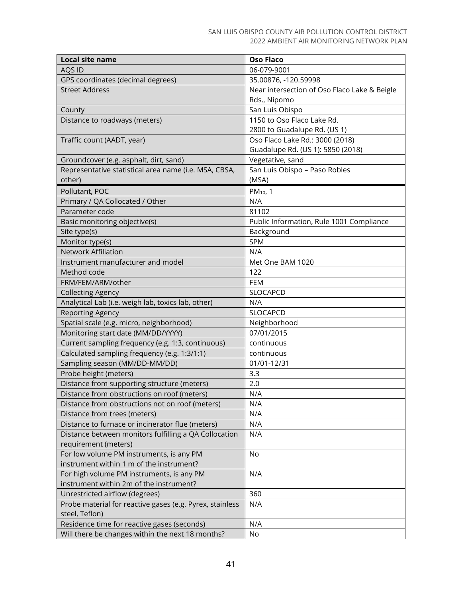| <b>Local site name</b>                                   | <b>Oso Flaco</b>                             |
|----------------------------------------------------------|----------------------------------------------|
| AQS ID                                                   | 06-079-9001                                  |
| GPS coordinates (decimal degrees)                        | 35.00876, -120.59998                         |
| <b>Street Address</b>                                    | Near intersection of Oso Flaco Lake & Beigle |
|                                                          | Rds., Nipomo                                 |
| County                                                   | San Luis Obispo                              |
| Distance to roadways (meters)                            | 1150 to Oso Flaco Lake Rd.                   |
|                                                          | 2800 to Guadalupe Rd. (US 1)                 |
| Traffic count (AADT, year)                               | Oso Flaco Lake Rd.: 3000 (2018)              |
|                                                          | Guadalupe Rd. (US 1): 5850 (2018)            |
| Groundcover (e.g. asphalt, dirt, sand)                   | Vegetative, sand                             |
| Representative statistical area name (i.e. MSA, CBSA,    | San Luis Obispo - Paso Robles                |
| other)                                                   | (MSA)                                        |
| Pollutant, POC                                           | PM <sub>10</sub> , 1                         |
| Primary / QA Collocated / Other                          | N/A                                          |
| Parameter code                                           | 81102                                        |
| Basic monitoring objective(s)                            | Public Information, Rule 1001 Compliance     |
| Site type(s)                                             | Background                                   |
| Monitor type(s)                                          | <b>SPM</b>                                   |
| <b>Network Affiliation</b>                               | N/A                                          |
| Instrument manufacturer and model                        | Met One BAM 1020                             |
| Method code                                              | 122                                          |
| FRM/FEM/ARM/other                                        | <b>FEM</b>                                   |
| <b>Collecting Agency</b>                                 | SLOCAPCD                                     |
| Analytical Lab (i.e. weigh lab, toxics lab, other)       | N/A                                          |
| <b>Reporting Agency</b>                                  | SLOCAPCD                                     |
| Spatial scale (e.g. micro, neighborhood)                 | Neighborhood                                 |
| Monitoring start date (MM/DD/YYYY)                       | 07/01/2015                                   |
| Current sampling frequency (e.g. 1:3, continuous)        | continuous                                   |
| Calculated sampling frequency (e.g. 1:3/1:1)             | continuous                                   |
| Sampling season (MM/DD-MM/DD)                            | 01/01-12/31                                  |
| Probe height (meters)                                    | 3.3                                          |
| Distance from supporting structure (meters)              | 2.0                                          |
| Distance from obstructions on roof (meters)              | N/A                                          |
| Distance from obstructions not on roof (meters)          | N/A                                          |
| Distance from trees (meters)                             | N/A                                          |
| Distance to furnace or incinerator flue (meters)         | N/A                                          |
| Distance between monitors fulfilling a QA Collocation    | N/A                                          |
| requirement (meters)                                     |                                              |
| For low volume PM instruments, is any PM                 | No                                           |
| instrument within 1 m of the instrument?                 |                                              |
| For high volume PM instruments, is any PM                | N/A                                          |
| instrument within 2m of the instrument?                  |                                              |
| Unrestricted airflow (degrees)                           | 360                                          |
| Probe material for reactive gases (e.g. Pyrex, stainless | N/A                                          |
| steel, Teflon)                                           |                                              |
| Residence time for reactive gases (seconds)              | N/A                                          |
| Will there be changes within the next 18 months?         | No                                           |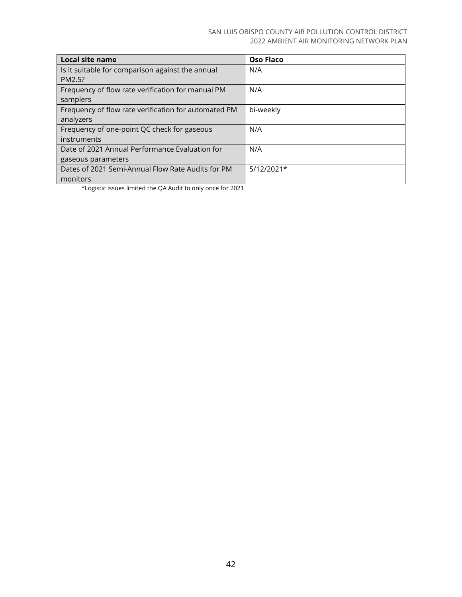| Local site name                                      | <b>Oso Flaco</b> |
|------------------------------------------------------|------------------|
| Is it suitable for comparison against the annual     | N/A              |
| PM2.5?                                               |                  |
| Frequency of flow rate verification for manual PM    | N/A              |
| samplers                                             |                  |
| Frequency of flow rate verification for automated PM | bi-weekly        |
| analyzers                                            |                  |
| Frequency of one-point QC check for gaseous          | N/A              |
| instruments                                          |                  |
| Date of 2021 Annual Performance Evaluation for       | N/A              |
| gaseous parameters                                   |                  |
| Dates of 2021 Semi-Annual Flow Rate Audits for PM    | $5/12/2021*$     |
| monitors                                             |                  |

\*Logistic issues limited the QA Audit to only once for 2021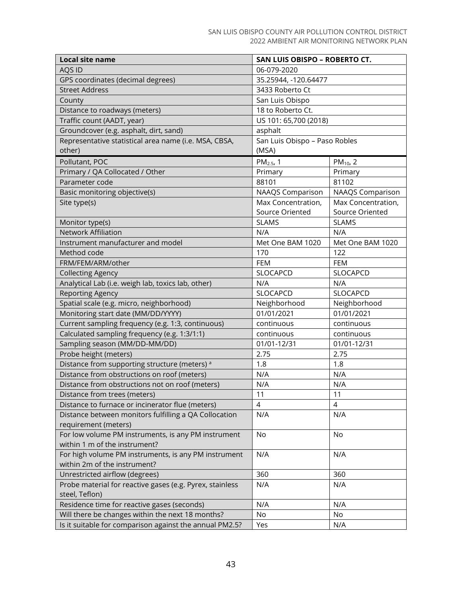| Local site name                                          | SAN LUIS OBISPO - ROBERTO CT. |                      |  |
|----------------------------------------------------------|-------------------------------|----------------------|--|
| AQS ID                                                   | 06-079-2020                   |                      |  |
| GPS coordinates (decimal degrees)                        | 35.25944, -120.64477          |                      |  |
| <b>Street Address</b>                                    | 3433 Roberto Ct               |                      |  |
| County                                                   | San Luis Obispo               |                      |  |
| Distance to roadways (meters)                            | 18 to Roberto Ct.             |                      |  |
| Traffic count (AADT, year)                               | US 101: 65,700 (2018)         |                      |  |
| Groundcover (e.g. asphalt, dirt, sand)                   | asphalt                       |                      |  |
| Representative statistical area name (i.e. MSA, CBSA,    | San Luis Obispo - Paso Robles |                      |  |
| other)                                                   | (MSA)                         |                      |  |
| Pollutant, POC                                           | PM <sub>2.5</sub> , 1         | PM <sub>10</sub> , 2 |  |
| Primary / QA Collocated / Other                          | Primary                       | Primary              |  |
| Parameter code                                           | 88101                         | 81102                |  |
| Basic monitoring objective(s)                            | <b>NAAQS Comparison</b>       | NAAQS Comparison     |  |
| Site type(s)                                             | Max Concentration,            | Max Concentration,   |  |
|                                                          | Source Oriented               | Source Oriented      |  |
| Monitor type(s)                                          | <b>SLAMS</b>                  | <b>SLAMS</b>         |  |
| <b>Network Affiliation</b>                               | N/A                           | N/A                  |  |
| Instrument manufacturer and model                        | Met One BAM 1020              | Met One BAM 1020     |  |
| Method code                                              | 170                           | 122                  |  |
| FRM/FEM/ARM/other                                        | <b>FEM</b>                    | <b>FEM</b>           |  |
| <b>Collecting Agency</b>                                 | SLOCAPCD                      | SLOCAPCD             |  |
| Analytical Lab (i.e. weigh lab, toxics lab, other)       | N/A                           | N/A                  |  |
| <b>Reporting Agency</b>                                  | SLOCAPCD                      | SLOCAPCD             |  |
| Spatial scale (e.g. micro, neighborhood)                 | Neighborhood                  | Neighborhood         |  |
| Monitoring start date (MM/DD/YYYY)                       | 01/01/2021<br>01/01/2021      |                      |  |
| Current sampling frequency (e.g. 1:3, continuous)        | continuous<br>continuous      |                      |  |
| Calculated sampling frequency (e.g. 1:3/1:1)             | continuous<br>continuous      |                      |  |
| Sampling season (MM/DD-MM/DD)                            | 01/01-12/31<br>01/01-12/31    |                      |  |
| Probe height (meters)                                    | 2.75<br>2.75                  |                      |  |
| Distance from supporting structure (meters) <sup>a</sup> | 1.8                           | 1.8                  |  |
| Distance from obstructions on roof (meters)              | N/A                           | N/A                  |  |
| Distance from obstructions not on roof (meters)          | N/A<br>N/A                    |                      |  |
| Distance from trees (meters)                             | 11<br>11                      |                      |  |
| Distance to furnace or incinerator flue (meters)         | 4<br>4                        |                      |  |
| Distance between monitors fulfilling a QA Collocation    | N/A                           | N/A                  |  |
| requirement (meters)                                     |                               |                      |  |
| For low volume PM instruments, is any PM instrument      | No                            | No                   |  |
| within 1 m of the instrument?                            |                               |                      |  |
| For high volume PM instruments, is any PM instrument     | N/A                           | N/A                  |  |
| within 2m of the instrument?                             |                               |                      |  |
| Unrestricted airflow (degrees)                           | 360                           | 360                  |  |
| Probe material for reactive gases (e.g. Pyrex, stainless | N/A                           | N/A                  |  |
| steel, Teflon)                                           |                               |                      |  |
| Residence time for reactive gases (seconds)              | N/A                           | N/A                  |  |
| Will there be changes within the next 18 months?         | No                            | No                   |  |
| Is it suitable for comparison against the annual PM2.5?  | Yes                           | N/A                  |  |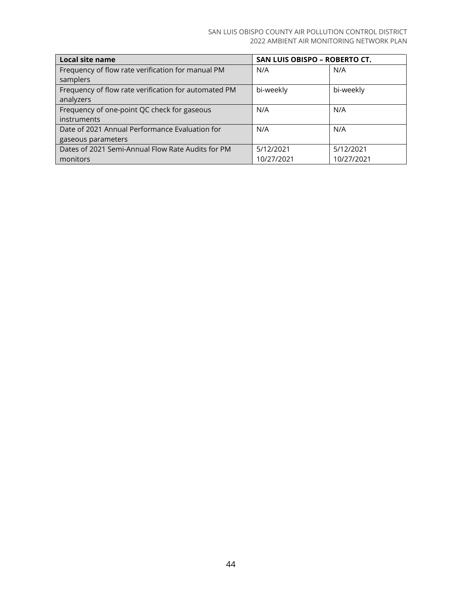| Local site name                                      | SAN LUIS OBISPO - ROBERTO CT. |            |  |
|------------------------------------------------------|-------------------------------|------------|--|
| Frequency of flow rate verification for manual PM    | N/A                           | N/A        |  |
| samplers                                             |                               |            |  |
| Frequency of flow rate verification for automated PM | bi-weekly                     | bi-weekly  |  |
| analyzers                                            |                               |            |  |
| Frequency of one-point QC check for gaseous          | N/A                           | N/A        |  |
| instruments                                          |                               |            |  |
| Date of 2021 Annual Performance Evaluation for       | N/A                           | N/A        |  |
| gaseous parameters                                   |                               |            |  |
| Dates of 2021 Semi-Annual Flow Rate Audits for PM    | 5/12/2021                     | 5/12/2021  |  |
| monitors                                             | 10/27/2021                    | 10/27/2021 |  |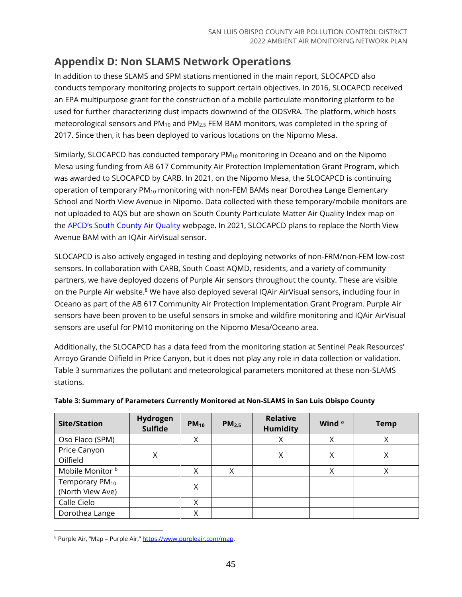# <span id="page-44-0"></span>**Appendix D: Non SLAMS Network Operations**

In addition to these SLAMS and SPM stations mentioned in the main report, SLOCAPCD also conducts temporary monitoring projects to support certain objectives. In 2016, SLOCAPCD received an EPA multipurpose grant for the construction of a mobile particulate monitoring platform to be used for further characterizing dust impacts downwind of the ODSVRA. The platform, which hosts meteorological sensors and  $PM_{10}$  and  $PM_{2.5}$  FEM BAM monitors, was completed in the spring of 2017. Since then, it has been deployed to various locations on the Nipomo Mesa.

Similarly, SLOCAPCD has conducted temporary PM<sub>10</sub> monitoring in Oceano and on the Nipomo Mesa using funding from AB 617 Community Air Protection Implementation Grant Program, which was awarded to SLOCAPCD by CARB. In 2021, on the Nipomo Mesa, the SLOCAPCD is continuing operation of temporary PM<sub>10</sub> monitoring with non-FEM BAMs near Dorothea Lange Elementary School and North View Avenue in Nipomo. Data collected with these temporary/mobile monitors are not uploaded to AQS but are shown on South County Particulate Matter Air Quality Index map on the [APCD's South County Air Quality](https://www.slocleanair.org/air-quality/south-county.php) webpage. In 2021, SLOCAPCD plans to replace the North View Avenue BAM with an IQAir AirVisual sensor.

SLOCAPCD is also actively engaged in testing and deploying networks of non-FRM/non-FEM low-cost sensors. In collaboration with CARB, South Coast AQMD, residents, and a variety of community partners, we have deployed dozens of Purple Air sensors throughout the county. These are visible on the Purple Air website.<sup>[8](#page-44-1)</sup> We have also deployed several IQAir AirVisual sensors, including four in Oceano as part of the AB 617 Community Air Protection Implementation Grant Program. Purple Air sensors have been proven to be useful sensors in smoke and wildfire monitoring and IQAir AirVisual sensors are useful for PM10 monitoring on the Nipomo Mesa/Oceano area.

Additionally, the SLOCAPCD has a data feed from the monitoring station at Sentinel Peak Resources' Arroyo Grande Oilfield in Price Canyon, but it does not play any role in data collection or validation. Table 3 summarizes the pollutant and meteorological parameters monitored at these non-SLAMS stations.

| <b>Site/Station</b>        | Hydrogen<br><b>Sulfide</b> | $PM_{10}$ | PM <sub>2.5</sub> | <b>Relative</b><br><b>Humidity</b> | Wind <sup>a</sup> | <b>Temp</b> |  |  |  |  |
|----------------------------|----------------------------|-----------|-------------------|------------------------------------|-------------------|-------------|--|--|--|--|
| Oso Flaco (SPM)            |                            | X         |                   | Χ                                  | X                 | Χ           |  |  |  |  |
| Price Canyon               | Χ                          |           |                   | Χ                                  | Χ                 | Χ           |  |  |  |  |
| Oilfield                   |                            |           |                   |                                    |                   |             |  |  |  |  |
| Mobile Monitor b           |                            | Χ         | Χ                 |                                    | X                 | Χ           |  |  |  |  |
| Temporary PM <sub>10</sub> |                            | Χ         |                   |                                    |                   |             |  |  |  |  |
| (North View Ave)           |                            |           |                   |                                    |                   |             |  |  |  |  |
| Calle Cielo                |                            | Χ         |                   |                                    |                   |             |  |  |  |  |
| Dorothea Lange             |                            | Χ         |                   |                                    |                   |             |  |  |  |  |

#### **Table 3: Summary of Parameters Currently Monitored at Non-SLAMS in San Luis Obispo County**

<span id="page-44-1"></span><sup>&</sup>lt;sup>8</sup> Purple Air, "Map - Purple Air," [https://www.purpleair.com/map.](https://www.purpleair.com/map)